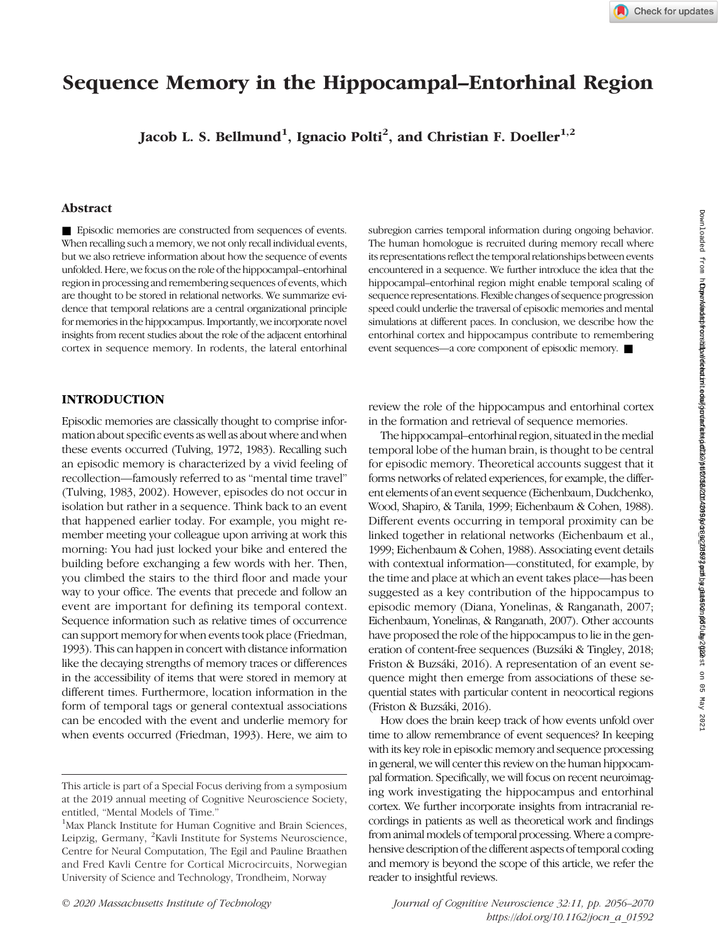# Sequence Memory in the Hippocampal–Entorhinal Region

Jacob L. S. Bellmund<sup>1</sup>, Ignacio Polti<sup>2</sup>, and Christian F. Doeller<sup>1,2</sup>

#### Abstract

■ Episodic memories are constructed from sequences of events. When recalling such a memory, we not only recall individual events, but we also retrieve information about how the sequence of events unfolded. Here, we focus on the role of the hippocampal–entorhinal region in processing and remembering sequences of events, which are thought to be stored in relational networks. We summarize evidence that temporal relations are a central organizational principle for memories in the hippocampus. Importantly, we incorporate novel insights from recent studies about the role of the adjacent entorhinal cortex in sequence memory. In rodents, the lateral entorhinal

### INTRODUCTION

Episodic memories are classically thought to comprise information about specific events as well as about where and when these events occurred (Tulving, 1972, 1983). Recalling such an episodic memory is characterized by a vivid feeling of recollection—famously referred to as "mental time travel" (Tulving, 1983, 2002). However, episodes do not occur in isolation but rather in a sequence. Think back to an event that happened earlier today. For example, you might remember meeting your colleague upon arriving at work this morning: You had just locked your bike and entered the building before exchanging a few words with her. Then, you climbed the stairs to the third floor and made your way to your office. The events that precede and follow an event are important for defining its temporal context. Sequence information such as relative times of occurrence can support memory for when events took place (Friedman, 1993). This can happen in concert with distance information like the decaying strengths of memory traces or differences in the accessibility of items that were stored in memory at different times. Furthermore, location information in the form of temporal tags or general contextual associations can be encoded with the event and underlie memory for when events occurred (Friedman, 1993). Here, we aim to

subregion carries temporal information during ongoing behavior. The human homologue is recruited during memory recall where its representations reflect the temporal relationships between events encountered in a sequence. We further introduce the idea that the hippocampal–entorhinal region might enable temporal scaling of sequence representations. Flexible changes of sequence progression speed could underlie the traversal of episodic memories and mental simulations at different paces. In conclusion, we describe how the entorhinal cortex and hippocampus contribute to remembering event sequences—a core component of episodic memory. ■

review the role of the hippocampus and entorhinal cortex in the formation and retrieval of sequence memories.

The hippocampal–entorhinal region, situated in the medial temporal lobe of the human brain, is thought to be central for episodic memory. Theoretical accounts suggest that it forms networks of related experiences, for example, the different elements of an event sequence (Eichenbaum, Dudchenko, Wood, Shapiro, & Tanila, 1999; Eichenbaum & Cohen, 1988). Different events occurring in temporal proximity can be linked together in relational networks (Eichenbaum et al., 1999; Eichenbaum & Cohen, 1988). Associating event details with contextual information—constituted, for example, by the time and place at which an event takes place—has been suggested as a key contribution of the hippocampus to episodic memory (Diana, Yonelinas, & Ranganath, 2007; Eichenbaum, Yonelinas, & Ranganath, 2007). Other accounts have proposed the role of the hippocampus to lie in the generation of content-free sequences (Buzsáki & Tingley, 2018; Friston & Buzsáki, 2016). A representation of an event sequence might then emerge from associations of these sequential states with particular content in neocortical regions (Friston & Buzsáki, 2016).

How does the brain keep track of how events unfold over time to allow remembrance of event sequences? In keeping with its key role in episodic memory and sequence processing in general, we will center this review on the human hippocampal formation. Specifically, we will focus on recent neuroimaging work investigating the hippocampus and entorhinal cortex. We further incorporate insights from intracranial recordings in patients as well as theoretical work and findings from animal models of temporal processing. Where a comprehensive description of the different aspects of temporal coding and memory is beyond the scope of this article, we refer the reader to insightful reviews.

This article is part of a Special Focus deriving from a symposium at the 2019 annual meeting of Cognitive Neuroscience Society, entitled, "Mental Models of Time." <sup>1</sup>

<sup>&</sup>lt;sup>1</sup>Max Planck Institute for Human Cognitive and Brain Sciences, Leipzig, Germany, <sup>2</sup>Kavli Institute for Systems Neuroscience, Centre for Neural Computation, The Egil and Pauline Braathen and Fred Kavli Centre for Cortical Microcircuits, Norwegian University of Science and Technology, Trondheim, Norway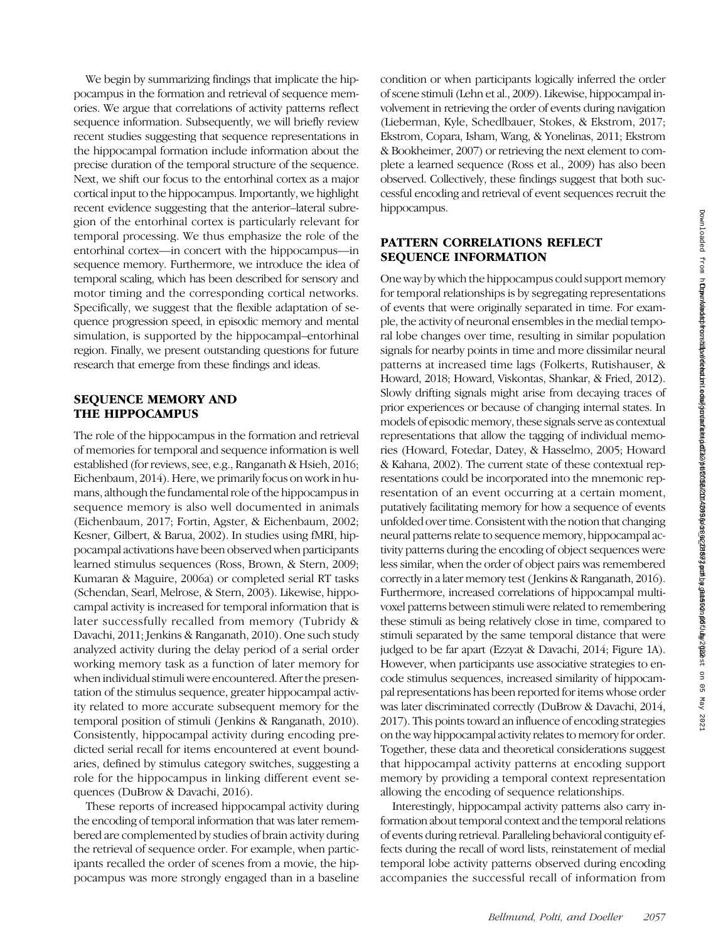We begin by summarizing findings that implicate the hippocampus in the formation and retrieval of sequence memories. We argue that correlations of activity patterns reflect sequence information. Subsequently, we will briefly review recent studies suggesting that sequence representations in the hippocampal formation include information about the precise duration of the temporal structure of the sequence. Next, we shift our focus to the entorhinal cortex as a major cortical input to the hippocampus. Importantly, we highlight recent evidence suggesting that the anterior–lateral subregion of the entorhinal cortex is particularly relevant for temporal processing. We thus emphasize the role of the entorhinal cortex—in concert with the hippocampus—in sequence memory. Furthermore, we introduce the idea of temporal scaling, which has been described for sensory and motor timing and the corresponding cortical networks. Specifically, we suggest that the flexible adaptation of sequence progression speed, in episodic memory and mental simulation, is supported by the hippocampal–entorhinal region. Finally, we present outstanding questions for future research that emerge from these findings and ideas.

# SEQUENCE MEMORY AND THE HIPPOCAMPUS

The role of the hippocampus in the formation and retrieval of memories for temporal and sequence information is well established (for reviews, see, e.g., Ranganath & Hsieh, 2016; Eichenbaum, 2014). Here, we primarily focus on work in humans, although the fundamental role of the hippocampus in sequence memory is also well documented in animals (Eichenbaum, 2017; Fortin, Agster, & Eichenbaum, 2002; Kesner, Gilbert, & Barua, 2002). In studies using fMRI, hippocampal activations have been observed when participants learned stimulus sequences (Ross, Brown, & Stern, 2009; Kumaran & Maguire, 2006a) or completed serial RT tasks (Schendan, Searl, Melrose, & Stern, 2003). Likewise, hippocampal activity is increased for temporal information that is later successfully recalled from memory (Tubridy & Davachi, 2011; Jenkins & Ranganath, 2010). One such study analyzed activity during the delay period of a serial order working memory task as a function of later memory for when individual stimuli were encountered. After the presentation of the stimulus sequence, greater hippocampal activity related to more accurate subsequent memory for the temporal position of stimuli ( Jenkins & Ranganath, 2010). Consistently, hippocampal activity during encoding predicted serial recall for items encountered at event boundaries, defined by stimulus category switches, suggesting a role for the hippocampus in linking different event sequences (DuBrow & Davachi, 2016).

These reports of increased hippocampal activity during the encoding of temporal information that was later remembered are complemented by studies of brain activity during the retrieval of sequence order. For example, when participants recalled the order of scenes from a movie, the hippocampus was more strongly engaged than in a baseline

condition or when participants logically inferred the order of scene stimuli (Lehn et al., 2009). Likewise, hippocampal involvement in retrieving the order of events during navigation (Lieberman, Kyle, Schedlbauer, Stokes, & Ekstrom, 2017; Ekstrom, Copara, Isham, Wang, & Yonelinas, 2011; Ekstrom & Bookheimer, 2007) or retrieving the next element to complete a learned sequence (Ross et al., 2009) has also been observed. Collectively, these findings suggest that both successful encoding and retrieval of event sequences recruit the hippocampus.

# PATTERN CORRELATIONS REFLECT SEQUENCE INFORMATION

One way by which the hippocampus could support memory for temporal relationships is by segregating representations of events that were originally separated in time. For example, the activity of neuronal ensembles in the medial temporal lobe changes over time, resulting in similar population signals for nearby points in time and more dissimilar neural patterns at increased time lags (Folkerts, Rutishauser, & Howard, 2018; Howard, Viskontas, Shankar, & Fried, 2012). Slowly drifting signals might arise from decaying traces of prior experiences or because of changing internal states. In models of episodic memory, these signals serve as contextual representations that allow the tagging of individual memories (Howard, Fotedar, Datey, & Hasselmo, 2005; Howard & Kahana, 2002). The current state of these contextual representations could be incorporated into the mnemonic representation of an event occurring at a certain moment, putatively facilitating memory for how a sequence of events unfolded over time. Consistentwith the notion that changing neural patterns relate to sequence memory, hippocampal activity patterns during the encoding of object sequences were less similar, when the order of object pairs was remembered correctly in a later memory test ( Jenkins & Ranganath, 2016). Furthermore, increased correlations of hippocampal multivoxel patterns between stimuli were related to remembering these stimuli as being relatively close in time, compared to stimuli separated by the same temporal distance that were judged to be far apart (Ezzyat & Davachi, 2014; Figure 1A). However, when participants use associative strategies to encode stimulus sequences, increased similarity of hippocampal representations has been reported for items whose order was later discriminated correctly (DuBrow & Davachi, 2014, 2017). This points toward an influence of encoding strategies on the way hippocampal activity relates to memory for order. Together, these data and theoretical considerations suggest that hippocampal activity patterns at encoding support memory by providing a temporal context representation allowing the encoding of sequence relationships.

Interestingly, hippocampal activity patterns also carry information about temporal context and the temporal relations of events during retrieval. Paralleling behavioral contiguity effects during the recall of word lists, reinstatement of medial temporal lobe activity patterns observed during encoding accompanies the successful recall of information from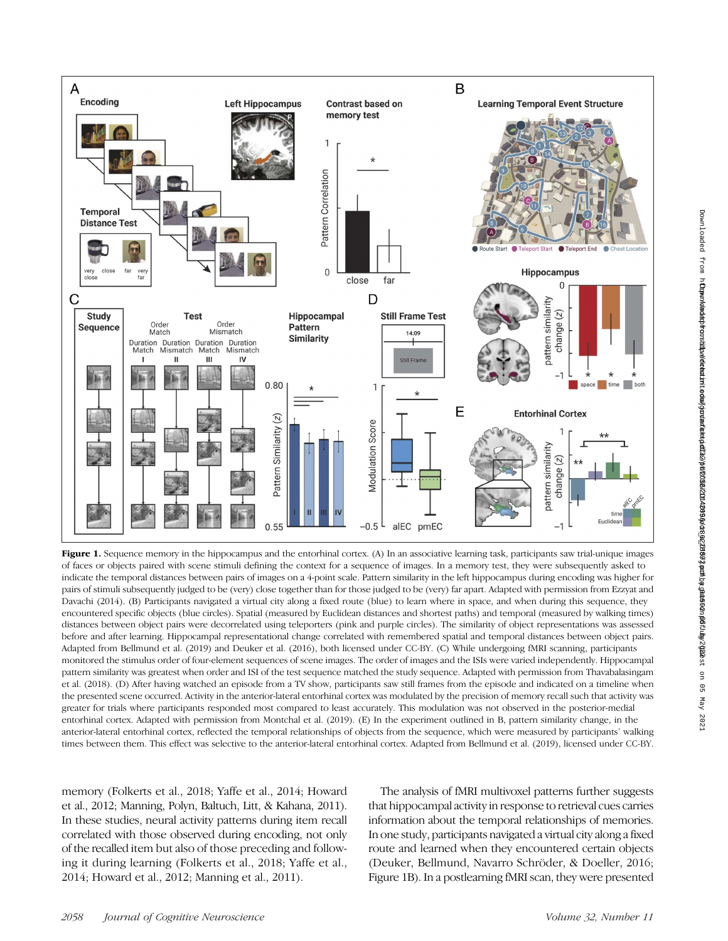

Figure 1. Sequence memory in the hippocampus and the entorhinal cortex. (A) In an associative learning task, participants saw trial-unique images of faces or objects paired with scene stimuli defining the context for a sequence of images. In a memory test, they were subsequently asked to indicate the temporal distances between pairs of images on a 4-point scale. Pattern similarity in the left hippocampus during encoding was higher for pairs of stimuli subsequently judged to be (very) close together than for those judged to be (very) far apart. Adapted with permission from Ezzyat and Davachi (2014). (B) Participants navigated a virtual city along a fixed route (blue) to learn where in space, and when during this sequence, they encountered specific objects (blue circles). Spatial (measured by Euclidean distances and shortest paths) and temporal (measured by walking times) distances between object pairs were decorrelated using teleporters (pink and purple circles). The similarity of object representations was assessed before and after learning. Hippocampal representational change correlated with remembered spatial and temporal distances between object pairs. Adapted from Bellmund et al. (2019) and Deuker et al. (2016), both licensed under [CC-BY](https://creativecommons.org/by/4.0/). (C) While undergoing fMRI scanning, participants monitored the stimulus order of four-element sequences of scene images. The order of images and the ISIs were varied independently. Hippocampal pattern similarity was greatest when order and ISI of the test sequence matched the study sequence. Adapted with permission from Thavabalasingam et al. (2018). (D) After having watched an episode from a TV show, participants saw still frames from the episode and indicated on a timeline when the presented scene occurred. Activity in the anterior-lateral entorhinal cortex was modulated by the precision of memory recall such that activity was greater for trials where participants responded most compared to least accurately. This modulation was not observed in the posterior-medial entorhinal cortex. Adapted with permission from Montchal et al. (2019). (E) In the experiment outlined in B, pattern similarity change, in the anterior-lateral entorhinal cortex, reflected the temporal relationships of objects from the sequence, which were measured by participants' walking times between them. This effect was selective to the anterior-lateral entorhinal cortex. Adapted from Bellmund et al. (2019), licensed under [CC-BY.](https://creativecommons.org/by/4.0/)

memory (Folkerts et al., 2018; Yaffe et al., 2014; Howard et al., 2012; Manning, Polyn, Baltuch, Litt, & Kahana, 2011). In these studies, neural activity patterns during item recall correlated with those observed during encoding, not only of the recalled item but also of those preceding and following it during learning (Folkerts et al., 2018; Yaffe et al., 2014; Howard et al., 2012; Manning et al., 2011).

The analysis of fMRI multivoxel patterns further suggests that hippocampal activity in response to retrieval cues carries information about the temporal relationships of memories. In one study, participants navigated a virtual city along a fixed route and learned when they encountered certain objects (Deuker, Bellmund, Navarro Schröder, & Doeller, 2016; Figure 1B). In a postlearning fMRI scan, they were presented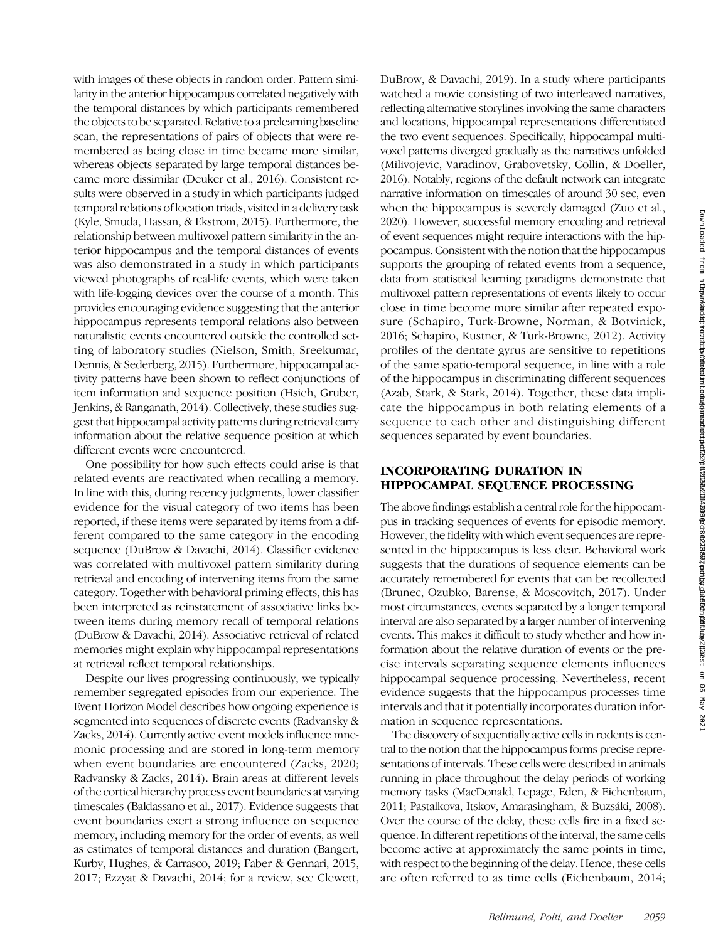with images of these objects in random order. Pattern similarity in the anterior hippocampus correlated negatively with the temporal distances by which participants remembered the objects to be separated. Relative to a prelearning baseline scan, the representations of pairs of objects that were remembered as being close in time became more similar, whereas objects separated by large temporal distances became more dissimilar (Deuker et al., 2016). Consistent results were observed in a study in which participants judged temporal relations of location triads, visited in a delivery task (Kyle, Smuda, Hassan, & Ekstrom, 2015). Furthermore, the relationship between multivoxel pattern similarity in the anterior hippocampus and the temporal distances of events was also demonstrated in a study in which participants viewed photographs of real-life events, which were taken with life-logging devices over the course of a month. This provides encouraging evidence suggesting that the anterior hippocampus represents temporal relations also between naturalistic events encountered outside the controlled setting of laboratory studies (Nielson, Smith, Sreekumar, Dennis, & Sederberg, 2015). Furthermore, hippocampal activity patterns have been shown to reflect conjunctions of item information and sequence position (Hsieh, Gruber, Jenkins, & Ranganath, 2014). Collectively, these studies suggest that hippocampal activity patterns during retrieval carry information about the relative sequence position at which different events were encountered.

One possibility for how such effects could arise is that related events are reactivated when recalling a memory. In line with this, during recency judgments, lower classifier evidence for the visual category of two items has been reported, if these items were separated by items from a different compared to the same category in the encoding sequence (DuBrow & Davachi, 2014). Classifier evidence was correlated with multivoxel pattern similarity during retrieval and encoding of intervening items from the same category. Together with behavioral priming effects, this has been interpreted as reinstatement of associative links between items during memory recall of temporal relations (DuBrow & Davachi, 2014). Associative retrieval of related memories might explain why hippocampal representations at retrieval reflect temporal relationships.

Despite our lives progressing continuously, we typically remember segregated episodes from our experience. The Event Horizon Model describes how ongoing experience is segmented into sequences of discrete events (Radvansky & Zacks, 2014). Currently active event models influence mnemonic processing and are stored in long-term memory when event boundaries are encountered (Zacks, 2020; Radvansky & Zacks, 2014). Brain areas at different levels of the cortical hierarchy process event boundaries at varying timescales (Baldassano et al., 2017). Evidence suggests that event boundaries exert a strong influence on sequence memory, including memory for the order of events, as well as estimates of temporal distances and duration (Bangert, Kurby, Hughes, & Carrasco, 2019; Faber & Gennari, 2015, 2017; Ezzyat & Davachi, 2014; for a review, see Clewett,

DuBrow, & Davachi, 2019). In a study where participants watched a movie consisting of two interleaved narratives, reflecting alternative storylines involving the same characters and locations, hippocampal representations differentiated the two event sequences. Specifically, hippocampal multivoxel patterns diverged gradually as the narratives unfolded (Milivojevic, Varadinov, Grabovetsky, Collin, & Doeller, 2016). Notably, regions of the default network can integrate narrative information on timescales of around 30 sec, even when the hippocampus is severely damaged (Zuo et al., 2020). However, successful memory encoding and retrieval of event sequences might require interactions with the hippocampus. Consistent with the notion that the hippocampus supports the grouping of related events from a sequence, data from statistical learning paradigms demonstrate that multivoxel pattern representations of events likely to occur close in time become more similar after repeated exposure (Schapiro, Turk-Browne, Norman, & Botvinick, 2016; Schapiro, Kustner, & Turk-Browne, 2012). Activity profiles of the dentate gyrus are sensitive to repetitions of the same spatio-temporal sequence, in line with a role of the hippocampus in discriminating different sequences (Azab, Stark, & Stark, 2014). Together, these data implicate the hippocampus in both relating elements of a sequence to each other and distinguishing different sequences separated by event boundaries.

# INCORPORATING DURATION IN HIPPOCAMPAL SEQUENCE PROCESSING

The above findings establish a central role for the hippocampus in tracking sequences of events for episodic memory. However, the fidelity with which event sequences are represented in the hippocampus is less clear. Behavioral work suggests that the durations of sequence elements can be accurately remembered for events that can be recollected (Brunec, Ozubko, Barense, & Moscovitch, 2017). Under most circumstances, events separated by a longer temporal interval are also separated by a larger number of intervening events. This makes it difficult to study whether and how information about the relative duration of events or the precise intervals separating sequence elements influences hippocampal sequence processing. Nevertheless, recent evidence suggests that the hippocampus processes time intervals and that it potentially incorporates duration information in sequence representations.

The discovery of sequentially active cells in rodents is central to the notion that the hippocampus forms precise representations of intervals. These cells were described in animals running in place throughout the delay periods of working memory tasks (MacDonald, Lepage, Eden, & Eichenbaum, 2011; Pastalkova, Itskov, Amarasingham, & Buzsáki, 2008). Over the course of the delay, these cells fire in a fixed sequence. In different repetitions of the interval, the same cells become active at approximately the same points in time, with respect to the beginning of the delay. Hence, these cells are often referred to as time cells (Eichenbaum, 2014;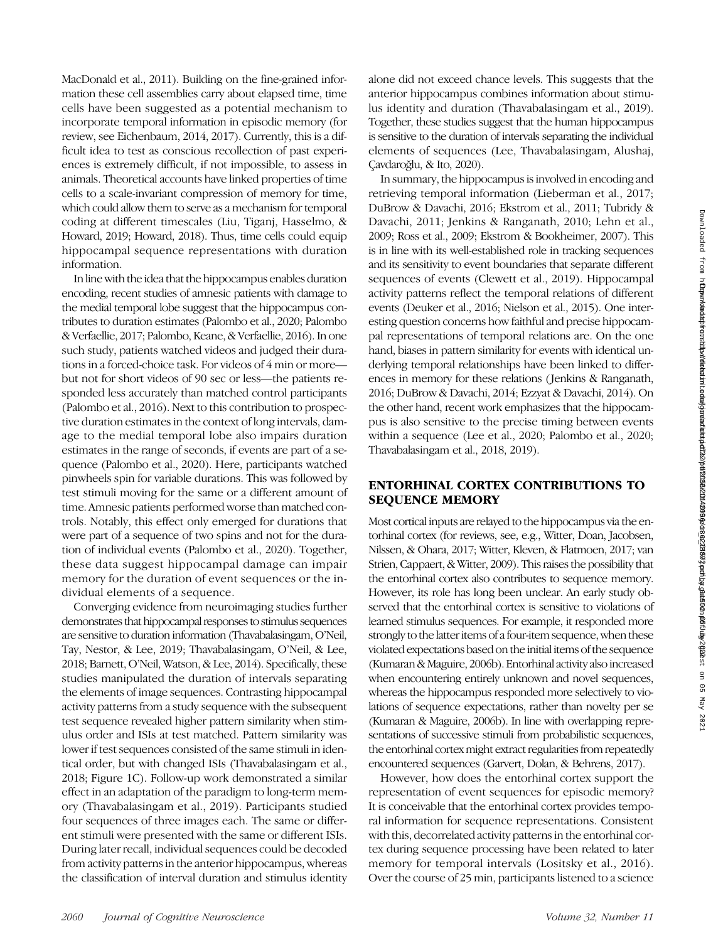MacDonald et al., 2011). Building on the fine-grained information these cell assemblies carry about elapsed time, time cells have been suggested as a potential mechanism to incorporate temporal information in episodic memory (for review, see Eichenbaum, 2014, 2017). Currently, this is a difficult idea to test as conscious recollection of past experiences is extremely difficult, if not impossible, to assess in animals. Theoretical accounts have linked properties of time cells to a scale-invariant compression of memory for time, which could allow them to serve as a mechanism for temporal coding at different timescales (Liu, Tiganj, Hasselmo, & Howard, 2019; Howard, 2018). Thus, time cells could equip hippocampal sequence representations with duration information.

In line with the idea that the hippocampus enables duration encoding, recent studies of amnesic patients with damage to the medial temporal lobe suggest that the hippocampus contributes to duration estimates (Palombo et al., 2020; Palombo & Verfaellie, 2017; Palombo, Keane, & Verfaellie, 2016). In one such study, patients watched videos and judged their durations in a forced-choice task. For videos of 4 min or more but not for short videos of 90 sec or less—the patients responded less accurately than matched control participants (Palombo et al., 2016). Next to this contribution to prospective duration estimates in the context of long intervals, damage to the medial temporal lobe also impairs duration estimates in the range of seconds, if events are part of a sequence (Palombo et al., 2020). Here, participants watched pinwheels spin for variable durations. This was followed by test stimuli moving for the same or a different amount of time. Amnesic patients performed worse than matched controls. Notably, this effect only emerged for durations that were part of a sequence of two spins and not for the duration of individual events (Palombo et al., 2020). Together, these data suggest hippocampal damage can impair memory for the duration of event sequences or the individual elements of a sequence.

Converging evidence from neuroimaging studies further demonstrates that hippocampal responses to stimulus sequences are sensitive to duration information (Thavabalasingam, O'Neil, Tay, Nestor, & Lee, 2019; Thavabalasingam, O'Neil, & Lee, 2018; Barnett, O'Neil, Watson, & Lee, 2014). Specifically, these studies manipulated the duration of intervals separating the elements of image sequences. Contrasting hippocampal activity patterns from a study sequence with the subsequent test sequence revealed higher pattern similarity when stimulus order and ISIs at test matched. Pattern similarity was lower if test sequences consisted of the same stimuli in identical order, but with changed ISIs (Thavabalasingam et al., 2018; Figure 1C). Follow-up work demonstrated a similar effect in an adaptation of the paradigm to long-term memory (Thavabalasingam et al., 2019). Participants studied four sequences of three images each. The same or different stimuli were presented with the same or different ISIs. During later recall, individual sequences could be decoded from activity patterns in the anterior hippocampus, whereas the classification of interval duration and stimulus identity alone did not exceed chance levels. This suggests that the anterior hippocampus combines information about stimulus identity and duration (Thavabalasingam et al., 2019). Together, these studies suggest that the human hippocampus is sensitive to the duration of intervals separating the individual elements of sequences (Lee, Thavabalasingam, Alushaj, Çavdaroğlu, & Ito, 2020).

In summary, the hippocampus is involved in encoding and retrieving temporal information (Lieberman et al., 2017; DuBrow & Davachi, 2016; Ekstrom et al., 2011; Tubridy & Davachi, 2011; Jenkins & Ranganath, 2010; Lehn et al., 2009; Ross et al., 2009; Ekstrom & Bookheimer, 2007). This is in line with its well-established role in tracking sequences and its sensitivity to event boundaries that separate different sequences of events (Clewett et al., 2019). Hippocampal activity patterns reflect the temporal relations of different events (Deuker et al., 2016; Nielson et al., 2015). One interesting question concerns how faithful and precise hippocampal representations of temporal relations are. On the one hand, biases in pattern similarity for events with identical underlying temporal relationships have been linked to differences in memory for these relations (Jenkins & Ranganath, 2016; DuBrow & Davachi, 2014; Ezzyat & Davachi, 2014). On the other hand, recent work emphasizes that the hippocampus is also sensitive to the precise timing between events within a sequence (Lee et al., 2020; Palombo et al., 2020; Thavabalasingam et al., 2018, 2019).

# ENTORHINAL CORTEX CONTRIBUTIONS TO SEQUENCE MEMORY

Most cortical inputs are relayed to the hippocampus via the entorhinal cortex (for reviews, see, e.g., Witter, Doan, Jacobsen, Nilssen, & Ohara, 2017; Witter, Kleven, & Flatmoen, 2017; van Strien, Cappaert, & Witter, 2009). This raises the possibility that the entorhinal cortex also contributes to sequence memory. However, its role has long been unclear. An early study observed that the entorhinal cortex is sensitive to violations of learned stimulus sequences. For example, it responded more strongly to the latter items of a four-item sequence, when these violated expectations based on the initial items of the sequence (Kumaran & Maguire, 2006b). Entorhinal activity also increased when encountering entirely unknown and novel sequences, whereas the hippocampus responded more selectively to violations of sequence expectations, rather than novelty per se (Kumaran & Maguire, 2006b). In line with overlapping representations of successive stimuli from probabilistic sequences, the entorhinal cortex might extract regularities from repeatedly encountered sequences (Garvert, Dolan, & Behrens, 2017).

However, how does the entorhinal cortex support the representation of event sequences for episodic memory? It is conceivable that the entorhinal cortex provides temporal information for sequence representations. Consistent with this, decorrelated activity patterns in the entorhinal cortex during sequence processing have been related to later memory for temporal intervals (Lositsky et al., 2016). Over the course of 25 min, participants listened to a science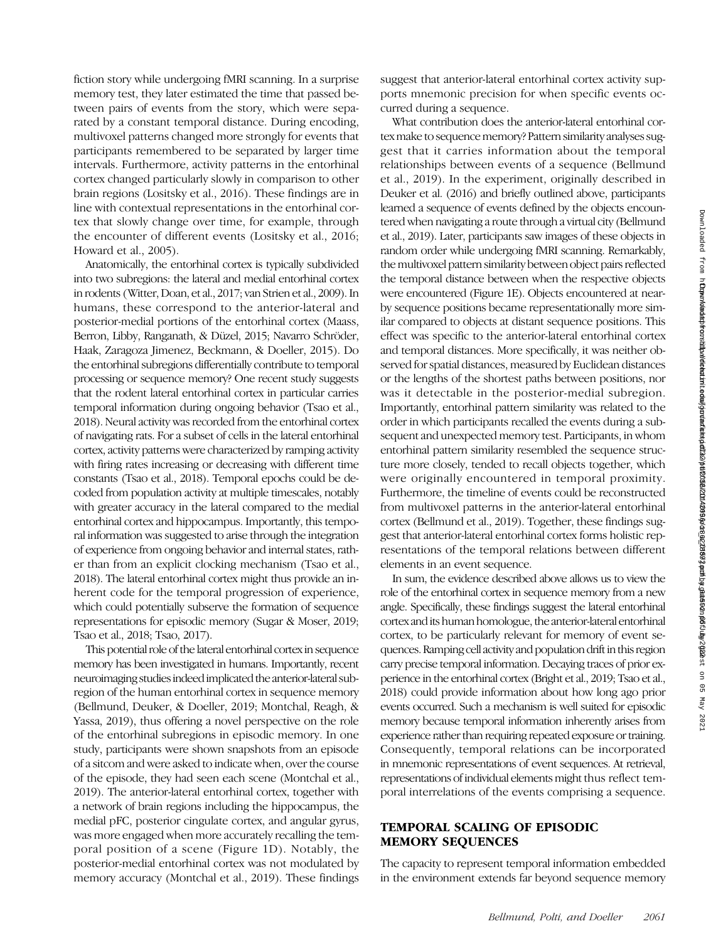fiction story while undergoing fMRI scanning. In a surprise memory test, they later estimated the time that passed between pairs of events from the story, which were separated by a constant temporal distance. During encoding, multivoxel patterns changed more strongly for events that participants remembered to be separated by larger time intervals. Furthermore, activity patterns in the entorhinal cortex changed particularly slowly in comparison to other brain regions (Lositsky et al., 2016). These findings are in line with contextual representations in the entorhinal cortex that slowly change over time, for example, through the encounter of different events (Lositsky et al., 2016; Howard et al., 2005).

Anatomically, the entorhinal cortex is typically subdivided into two subregions: the lateral and medial entorhinal cortex in rodents (Witter, Doan, et al., 2017; van Strien et al., 2009). In humans, these correspond to the anterior-lateral and posterior-medial portions of the entorhinal cortex (Maass, Berron, Libby, Ranganath, & Düzel, 2015; Navarro Schröder, Haak, Zaragoza Jimenez, Beckmann, & Doeller, 2015). Do the entorhinal subregions differentially contribute to temporal processing or sequence memory? One recent study suggests that the rodent lateral entorhinal cortex in particular carries temporal information during ongoing behavior (Tsao et al., 2018). Neural activity was recorded from the entorhinal cortex of navigating rats. For a subset of cells in the lateral entorhinal cortex, activity patterns were characterized by ramping activity with firing rates increasing or decreasing with different time constants (Tsao et al., 2018). Temporal epochs could be decoded from population activity at multiple timescales, notably with greater accuracy in the lateral compared to the medial entorhinal cortex and hippocampus. Importantly, this temporal information was suggested to arise through the integration of experience from ongoing behavior and internal states, rather than from an explicit clocking mechanism (Tsao et al., 2018). The lateral entorhinal cortex might thus provide an inherent code for the temporal progression of experience, which could potentially subserve the formation of sequence representations for episodic memory (Sugar & Moser, 2019; Tsao et al., 2018; Tsao, 2017).

This potential role of the lateral entorhinal cortex in sequence memory has been investigated in humans. Importantly, recent neuroimaging studiesindeedimplicated the anterior-lateral subregion of the human entorhinal cortex in sequence memory (Bellmund, Deuker, & Doeller, 2019; Montchal, Reagh, & Yassa, 2019), thus offering a novel perspective on the role of the entorhinal subregions in episodic memory. In one study, participants were shown snapshots from an episode of a sitcom and were asked to indicate when, over the course of the episode, they had seen each scene (Montchal et al., 2019). The anterior-lateral entorhinal cortex, together with a network of brain regions including the hippocampus, the medial pFC, posterior cingulate cortex, and angular gyrus, was more engaged when more accurately recalling the temporal position of a scene (Figure 1D). Notably, the posterior-medial entorhinal cortex was not modulated by memory accuracy (Montchal et al., 2019). These findings suggest that anterior-lateral entorhinal cortex activity supports mnemonic precision for when specific events occurred during a sequence.

What contribution does the anterior-lateral entorhinal cortex make to sequence memory? Pattern similarity analyses suggest that it carries information about the temporal relationships between events of a sequence (Bellmund et al., 2019). In the experiment, originally described in Deuker et al. (2016) and briefly outlined above, participants learned a sequence of events defined by the objects encountered when navigating a route through a virtual city (Bellmund et al., 2019). Later, participants saw images of these objects in random order while undergoing fMRI scanning. Remarkably, the multivoxel pattern similarity between object pairs reflected the temporal distance between when the respective objects were encountered (Figure 1E). Objects encountered at nearby sequence positions became representationally more similar compared to objects at distant sequence positions. This effect was specific to the anterior-lateral entorhinal cortex and temporal distances. More specifically, it was neither observed for spatial distances, measured by Euclidean distances or the lengths of the shortest paths between positions, nor was it detectable in the posterior-medial subregion. Importantly, entorhinal pattern similarity was related to the order in which participants recalled the events during a subsequent and unexpected memory test. Participants, in whom entorhinal pattern similarity resembled the sequence structure more closely, tended to recall objects together, which were originally encountered in temporal proximity. Furthermore, the timeline of events could be reconstructed from multivoxel patterns in the anterior-lateral entorhinal cortex (Bellmund et al., 2019). Together, these findings suggest that anterior-lateral entorhinal cortex forms holistic representations of the temporal relations between different elements in an event sequence.

In sum, the evidence described above allows us to view the role of the entorhinal cortex in sequence memory from a new angle. Specifically, these findings suggest the lateral entorhinal cortex and its human homologue, the anterior-lateral entorhinal cortex, to be particularly relevant for memory of event sequences. Ramping cell activity and population drift in this region carry precise temporal information. Decaying traces of prior experience in the entorhinal cortex (Bright et al., 2019; Tsao et al., 2018) could provide information about how long ago prior events occurred. Such a mechanism is well suited for episodic memory because temporal information inherently arises from experience rather than requiring repeated exposure or training. Consequently, temporal relations can be incorporated in mnemonic representations of event sequences. At retrieval, representations of individual elements might thus reflect temporal interrelations of the events comprising a sequence.

## TEMPORAL SCALING OF EPISODIC MEMORY SEQUENCES

The capacity to represent temporal information embedded in the environment extends far beyond sequence memory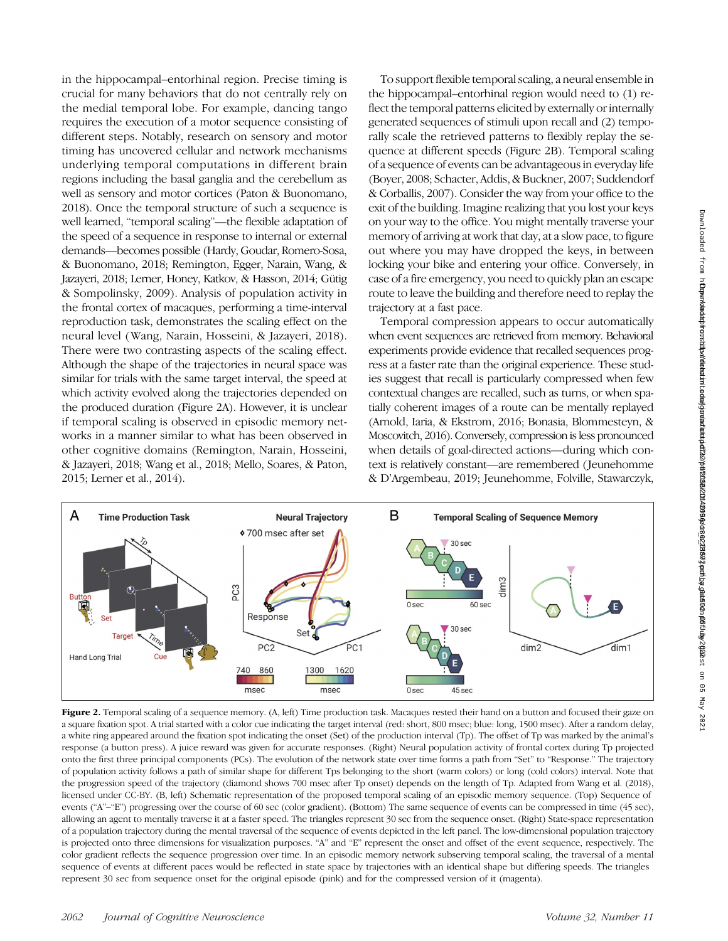in the hippocampal–entorhinal region. Precise timing is crucial for many behaviors that do not centrally rely on the medial temporal lobe. For example, dancing tango requires the execution of a motor sequence consisting of different steps. Notably, research on sensory and motor timing has uncovered cellular and network mechanisms underlying temporal computations in different brain regions including the basal ganglia and the cerebellum as well as sensory and motor cortices (Paton & Buonomano, 2018). Once the temporal structure of such a sequence is well learned, "temporal scaling"—the flexible adaptation of the speed of a sequence in response to internal or external demands—becomes possible (Hardy, Goudar, Romero-Sosa, & Buonomano, 2018; Remington, Egger, Narain, Wang, & Jazayeri, 2018; Lerner, Honey, Katkov, & Hasson, 2014; Gütig & Sompolinsky, 2009). Analysis of population activity in the frontal cortex of macaques, performing a time-interval reproduction task, demonstrates the scaling effect on the neural level (Wang, Narain, Hosseini, & Jazayeri, 2018). There were two contrasting aspects of the scaling effect. Although the shape of the trajectories in neural space was similar for trials with the same target interval, the speed at which activity evolved along the trajectories depended on the produced duration (Figure 2A). However, it is unclear if temporal scaling is observed in episodic memory networks in a manner similar to what has been observed in other cognitive domains (Remington, Narain, Hosseini, & Jazayeri, 2018; Wang et al., 2018; Mello, Soares, & Paton, 2015; Lerner et al., 2014).

To support flexible temporal scaling, a neural ensemble in the hippocampal–entorhinal region would need to (1) reflect the temporal patterns elicited by externally or internally generated sequences of stimuli upon recall and (2) temporally scale the retrieved patterns to flexibly replay the sequence at different speeds (Figure 2B). Temporal scaling of a sequence of events can be advantageous in everyday life (Boyer, 2008; Schacter, Addis, & Buckner, 2007; Suddendorf & Corballis, 2007). Consider the way from your office to the exit of the building. Imagine realizing that you lost your keys on your way to the office. You might mentally traverse your memory of arriving at work that day, at a slow pace, to figure out where you may have dropped the keys, in between locking your bike and entering your office. Conversely, in case of a fire emergency, you need to quickly plan an escape route to leave the building and therefore need to replay the trajectory at a fast pace.

Temporal compression appears to occur automatically when event sequences are retrieved from memory. Behavioral experiments provide evidence that recalled sequences progress at a faster rate than the original experience. These studies suggest that recall is particularly compressed when few contextual changes are recalled, such as turns, or when spatially coherent images of a route can be mentally replayed (Arnold, Iaria, & Ekstrom, 2016; Bonasia, Blommesteyn, & Moscovitch, 2016). Conversely, compression is less pronounced when details of goal-directed actions—during which context is relatively constant—are remembered ( Jeunehomme & D'Argembeau, 2019; Jeunehomme, Folville, Stawarczyk,



Figure 2. Temporal scaling of a sequence memory. (A, left) Time production task. Macaques rested their hand on a button and focused their gaze on a square fixation spot. A trial started with a color cue indicating the target interval (red: short, 800 msec; blue: long, 1500 msec). After a random delay, a white ring appeared around the fixation spot indicating the onset (Set) of the production interval (Tp). The offset of Tp was marked by the animal's response (a button press). A juice reward was given for accurate responses. (Right) Neural population activity of frontal cortex during Tp projected onto the first three principal components (PCs). The evolution of the network state over time forms a path from "Set" to "Response." The trajectory of population activity follows a path of similar shape for different Tps belonging to the short (warm colors) or long (cold colors) interval. Note that the progression speed of the trajectory (diamond shows 700 msec after Tp onset) depends on the length of Tp. Adapted from Wang et al. (2018), licensed under [CC-BY](https://creativecommons.org/by/4.0/). (B, left) Schematic representation of the proposed temporal scaling of an episodic memory sequence. (Top) Sequence of events ("A"–"E") progressing over the course of 60 sec (color gradient). (Bottom) The same sequence of events can be compressed in time (45 sec), allowing an agent to mentally traverse it at a faster speed. The triangles represent 30 sec from the sequence onset. (Right) State-space representation of a population trajectory during the mental traversal of the sequence of events depicted in the left panel. The low-dimensional population trajectory is projected onto three dimensions for visualization purposes. "A" and "E" represent the onset and offset of the event sequence, respectively. The color gradient reflects the sequence progression over time. In an episodic memory network subserving temporal scaling, the traversal of a mental sequence of events at different paces would be reflected in state space by trajectories with an identical shape but differing speeds. The triangles represent 30 sec from sequence onset for the original episode (pink) and for the compressed version of it (magenta).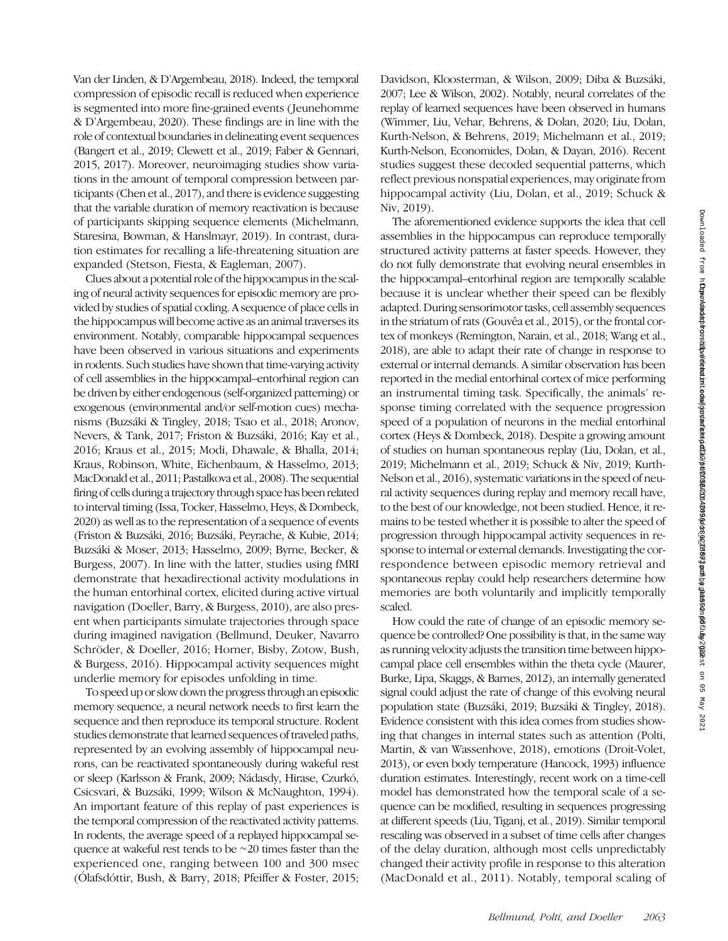Van der Linden, & D'Argembeau, 2018). Indeed, the temporal compression of episodic recall is reduced when experience is segmented into more fine-grained events ( Jeunehomme & D'Argembeau, 2020). These findings are in line with the role of contextual boundaries in delineating event sequences (Bangert et al., 2019; Clewett et al., 2019; Faber & Gennari, 2015, 2017). Moreover, neuroimaging studies show variations in the amount of temporal compression between participants (Chen et al., 2017), and there is evidence suggesting that the variable duration of memory reactivation is because of participants skipping sequence elements (Michelmann, Staresina, Bowman, & Hanslmayr, 2019). In contrast, duration estimates for recalling a life-threatening situation are expanded (Stetson, Fiesta, & Eagleman, 2007).

Clues about a potential role of the hippocampus in the scaling of neural activity sequences for episodic memory are provided by studies of spatial coding. A sequence of place cells in the hippocampus will become active as an animal traverses its environment. Notably, comparable hippocampal sequences have been observed in various situations and experiments in rodents. Such studies have shown that time-varying activity of cell assemblies in the hippocampal–entorhinal region can be driven by either endogenous (self-organized patterning) or exogenous (environmental and/or self-motion cues) mechanisms (Buzsáki & Tingley, 2018; Tsao et al., 2018; Aronov, Nevers, & Tank, 2017; Friston & Buzsáki, 2016; Kay et al., 2016; Kraus et al., 2015; Modi, Dhawale, & Bhalla, 2014; Kraus, Robinson, White, Eichenbaum, & Hasselmo, 2013; MacDonald et al., 2011; Pastalkova et al., 2008). The sequential firing of cells during a trajectory through space has been related to interval timing (Issa, Tocker, Hasselmo, Heys, & Dombeck, 2020) as well as to the representation of a sequence of events (Friston & Buzsáki, 2016; Buzsáki, Peyrache, & Kubie, 2014; Buzsáki & Moser, 2013; Hasselmo, 2009; Byrne, Becker, & Burgess, 2007). In line with the latter, studies using fMRI demonstrate that hexadirectional activity modulations in the human entorhinal cortex, elicited during active virtual navigation (Doeller, Barry, & Burgess, 2010), are also present when participants simulate trajectories through space during imagined navigation (Bellmund, Deuker, Navarro Schröder, & Doeller, 2016; Horner, Bisby, Zotow, Bush, & Burgess, 2016). Hippocampal activity sequences might underlie memory for episodes unfolding in time.

To speed up or slow down the progress through an episodic memory sequence, a neural network needs to first learn the sequence and then reproduce its temporal structure. Rodent studies demonstrate that learned sequences of traveled paths, represented by an evolving assembly of hippocampal neurons, can be reactivated spontaneously during wakeful rest or sleep (Karlsson & Frank, 2009; Nádasdy, Hirase, Czurkó, Csicsvari, & Buzsáki, 1999; Wilson & McNaughton, 1994). An important feature of this replay of past experiences is the temporal compression of the reactivated activity patterns. In rodents, the average speed of a replayed hippocampal sequence at wakeful rest tends to be ∼20 times faster than the experienced one, ranging between 100 and 300 msec (Ólafsdóttir, Bush, & Barry, 2018; Pfeiffer & Foster, 2015;

Davidson, Kloosterman, & Wilson, 2009; Diba & Buzsáki, 2007; Lee & Wilson, 2002). Notably, neural correlates of the replay of learned sequences have been observed in humans (Wimmer, Liu, Vehar, Behrens, & Dolan, 2020; Liu, Dolan, Kurth-Nelson, & Behrens, 2019; Michelmann et al., 2019; Kurth-Nelson, Economides, Dolan, & Dayan, 2016). Recent studies suggest these decoded sequential patterns, which reflect previous nonspatial experiences, may originate from hippocampal activity (Liu, Dolan, et al., 2019; Schuck & Niv, 2019).

The aforementioned evidence supports the idea that cell assemblies in the hippocampus can reproduce temporally structured activity patterns at faster speeds. However, they do not fully demonstrate that evolving neural ensembles in the hippocampal–entorhinal region are temporally scalable because it is unclear whether their speed can be flexibly adapted. During sensorimotor tasks, cell assembly sequences in the striatum of rats (Gouvêa et al., 2015), or the frontal cortex of monkeys (Remington, Narain, et al., 2018; Wang et al., 2018), are able to adapt their rate of change in response to external or internal demands. A similar observation has been reported in the medial entorhinal cortex of mice performing an instrumental timing task. Specifically, the animals' response timing correlated with the sequence progression speed of a population of neurons in the medial entorhinal cortex (Heys & Dombeck, 2018). Despite a growing amount of studies on human spontaneous replay (Liu, Dolan, et al., 2019; Michelmann et al., 2019; Schuck & Niv, 2019; Kurth-Nelson et al., 2016), systematic variations in the speed of neural activity sequences during replay and memory recall have, to the best of our knowledge, not been studied. Hence, it remains to be tested whether it is possible to alter the speed of progression through hippocampal activity sequences in response to internal or external demands. Investigating the correspondence between episodic memory retrieval and spontaneous replay could help researchers determine how memories are both voluntarily and implicitly temporally scaled.

How could the rate of change of an episodic memory sequence be controlled? One possibility is that, in the same way as running velocity adjusts the transition time between hippocampal place cell ensembles within the theta cycle (Maurer, Burke, Lipa, Skaggs, & Barnes, 2012), an internally generated signal could adjust the rate of change of this evolving neural population state (Buzsáki, 2019; Buzsáki & Tingley, 2018). Evidence consistent with this idea comes from studies showing that changes in internal states such as attention (Polti, Martin, & van Wassenhove, 2018), emotions (Droit-Volet, 2013), or even body temperature (Hancock, 1993) influence duration estimates. Interestingly, recent work on a time-cell model has demonstrated how the temporal scale of a sequence can be modified, resulting in sequences progressing at different speeds (Liu, Tiganj, et al., 2019). Similar temporal rescaling was observed in a subset of time cells after changes of the delay duration, although most cells unpredictably changed their activity profile in response to this alteration (MacDonald et al., 2011). Notably, temporal scaling of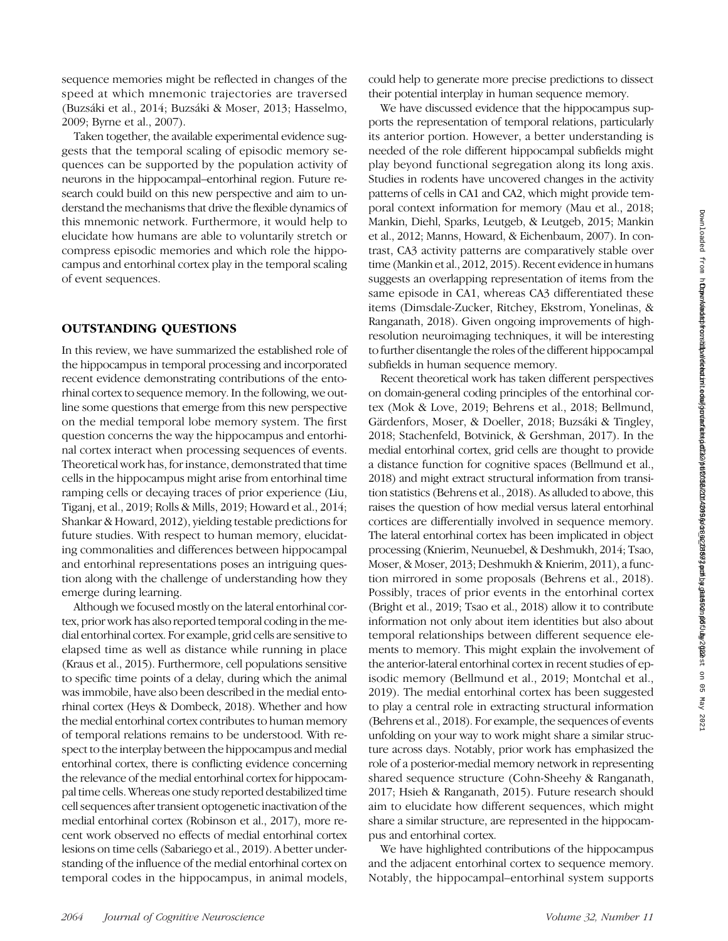sequence memories might be reflected in changes of the speed at which mnemonic trajectories are traversed (Buzsáki et al., 2014; Buzsáki & Moser, 2013; Hasselmo, 2009; Byrne et al., 2007).

Taken together, the available experimental evidence suggests that the temporal scaling of episodic memory sequences can be supported by the population activity of neurons in the hippocampal–entorhinal region. Future research could build on this new perspective and aim to understand the mechanisms that drive the flexible dynamics of this mnemonic network. Furthermore, it would help to elucidate how humans are able to voluntarily stretch or compress episodic memories and which role the hippocampus and entorhinal cortex play in the temporal scaling of event sequences.

#### OUTSTANDING QUESTIONS

In this review, we have summarized the established role of the hippocampus in temporal processing and incorporated recent evidence demonstrating contributions of the entorhinal cortex to sequence memory. In the following, we outline some questions that emerge from this new perspective on the medial temporal lobe memory system. The first question concerns the way the hippocampus and entorhinal cortex interact when processing sequences of events. Theoretical work has, for instance, demonstrated that time cells in the hippocampus might arise from entorhinal time ramping cells or decaying traces of prior experience (Liu, Tiganj, et al., 2019; Rolls & Mills, 2019; Howard et al., 2014; Shankar & Howard, 2012), yielding testable predictions for future studies. With respect to human memory, elucidating commonalities and differences between hippocampal and entorhinal representations poses an intriguing question along with the challenge of understanding how they emerge during learning.

Although we focused mostly on the lateral entorhinal cortex, prior work has also reported temporal coding in the medial entorhinal cortex. For example, grid cells are sensitive to elapsed time as well as distance while running in place (Kraus et al., 2015). Furthermore, cell populations sensitive to specific time points of a delay, during which the animal was immobile, have also been described in the medial entorhinal cortex (Heys & Dombeck, 2018). Whether and how the medial entorhinal cortex contributes to human memory of temporal relations remains to be understood. With respect to the interplay between the hippocampus and medial entorhinal cortex, there is conflicting evidence concerning the relevance of the medial entorhinal cortex for hippocampal time cells. Whereas one study reported destabilized time cell sequences after transient optogenetic inactivation of the medial entorhinal cortex (Robinson et al., 2017), more recent work observed no effects of medial entorhinal cortex lesions on time cells (Sabariego et al., 2019). A better understanding of the influence of the medial entorhinal cortex on temporal codes in the hippocampus, in animal models,

could help to generate more precise predictions to dissect their potential interplay in human sequence memory.

We have discussed evidence that the hippocampus supports the representation of temporal relations, particularly its anterior portion. However, a better understanding is needed of the role different hippocampal subfields might play beyond functional segregation along its long axis. Studies in rodents have uncovered changes in the activity patterns of cells in CA1 and CA2, which might provide temporal context information for memory (Mau et al., 2018; Mankin, Diehl, Sparks, Leutgeb, & Leutgeb, 2015; Mankin et al., 2012; Manns, Howard, & Eichenbaum, 2007). In contrast, CA3 activity patterns are comparatively stable over time (Mankin et al., 2012, 2015). Recent evidence in humans suggests an overlapping representation of items from the same episode in CA1, whereas CA3 differentiated these items (Dimsdale-Zucker, Ritchey, Ekstrom, Yonelinas, & Ranganath, 2018). Given ongoing improvements of highresolution neuroimaging techniques, it will be interesting to further disentangle the roles of the different hippocampal subfields in human sequence memory.

Recent theoretical work has taken different perspectives on domain-general coding principles of the entorhinal cortex (Mok & Love, 2019; Behrens et al., 2018; Bellmund, Gärdenfors, Moser, & Doeller, 2018; Buzsáki & Tingley, 2018; Stachenfeld, Botvinick, & Gershman, 2017). In the medial entorhinal cortex, grid cells are thought to provide a distance function for cognitive spaces (Bellmund et al., 2018) and might extract structural information from transition statistics (Behrens et al., 2018). As alluded to above, this raises the question of how medial versus lateral entorhinal cortices are differentially involved in sequence memory. The lateral entorhinal cortex has been implicated in object processing (Knierim, Neunuebel, & Deshmukh, 2014; Tsao, Moser, & Moser, 2013; Deshmukh & Knierim, 2011), a function mirrored in some proposals (Behrens et al., 2018). Possibly, traces of prior events in the entorhinal cortex (Bright et al., 2019; Tsao et al., 2018) allow it to contribute information not only about item identities but also about temporal relationships between different sequence elements to memory. This might explain the involvement of the anterior-lateral entorhinal cortex in recent studies of episodic memory (Bellmund et al., 2019; Montchal et al., 2019). The medial entorhinal cortex has been suggested to play a central role in extracting structural information (Behrens et al., 2018). For example, the sequences of events unfolding on your way to work might share a similar structure across days. Notably, prior work has emphasized the role of a posterior-medial memory network in representing shared sequence structure (Cohn-Sheehy & Ranganath, 2017; Hsieh & Ranganath, 2015). Future research should aim to elucidate how different sequences, which might share a similar structure, are represented in the hippocampus and entorhinal cortex.

We have highlighted contributions of the hippocampus and the adjacent entorhinal cortex to sequence memory. Notably, the hippocampal–entorhinal system supports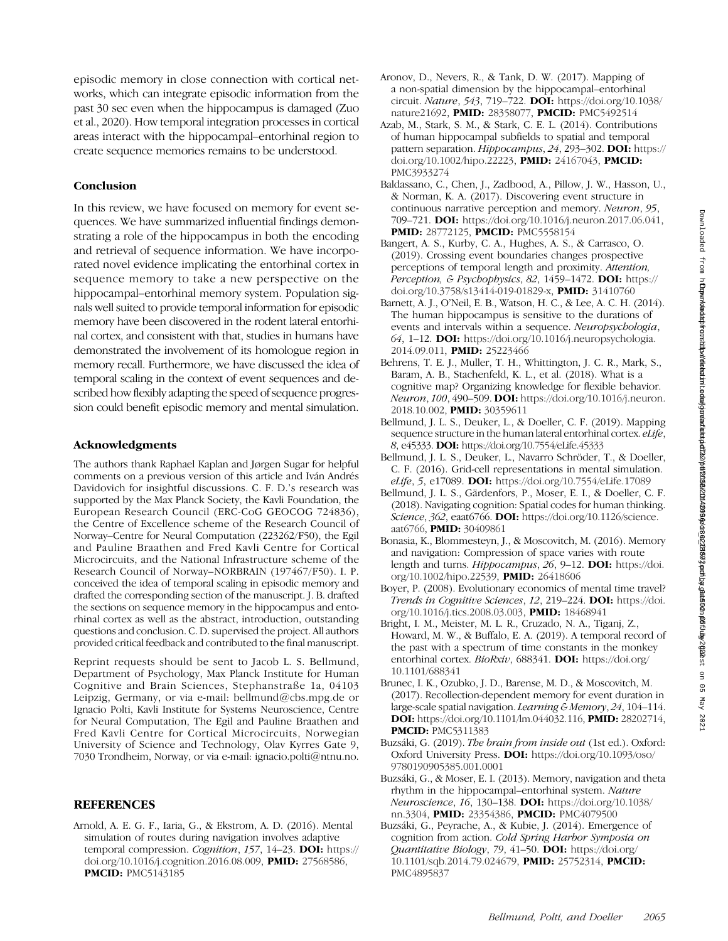episodic memory in close connection with cortical networks, which can integrate episodic information from the past 30 sec even when the hippocampus is damaged (Zuo et al., 2020). How temporal integration processes in cortical areas interact with the hippocampal–entorhinal region to create sequence memories remains to be understood.

#### **Conclusion**

In this review, we have focused on memory for event sequences. We have summarized influential findings demonstrating a role of the hippocampus in both the encoding and retrieval of sequence information. We have incorporated novel evidence implicating the entorhinal cortex in sequence memory to take a new perspective on the hippocampal–entorhinal memory system. Population signals well suited to provide temporal information for episodic memory have been discovered in the rodent lateral entorhinal cortex, and consistent with that, studies in humans have demonstrated the involvement of its homologue region in memory recall. Furthermore, we have discussed the idea of temporal scaling in the context of event sequences and described how flexibly adapting the speed of sequence progression could benefit episodic memory and mental simulation.

#### Acknowledgments

The authors thank Raphael Kaplan and Jørgen Sugar for helpful comments on a previous version of this article and Iván Andrés Davidovich for insightful discussions. C. F. D.'s research was supported by the Max Planck Society, the Kavli Foundation, the European Research Council (ERC-CoG GEOCOG 724836), the Centre of Excellence scheme of the Research Council of Norway–Centre for Neural Computation (223262/F50), the Egil and Pauline Braathen and Fred Kavli Centre for Cortical Microcircuits, and the National Infrastructure scheme of the Research Council of Norway–NORBRAIN (197467/F50). I. P. conceived the idea of temporal scaling in episodic memory and drafted the corresponding section of the manuscript. J. B. drafted the sections on sequence memory in the hippocampus and entorhinal cortex as well as the abstract, introduction, outstanding questions and conclusion. C. D. supervised the project. All authors provided critical feedback and contributed to the final manuscript.

Reprint requests should be sent to Jacob L. S. Bellmund, Department of Psychology, Max Planck Institute for Human Cognitive and Brain Sciences, Stephanstraße 1a, 04103 Leipzig, Germany, or via e-mail: bellmund@cbs.mpg.de or Ignacio Polti, Kavli Institute for Systems Neuroscience, Centre for Neural Computation, The Egil and Pauline Braathen and Fred Kavli Centre for Cortical Microcircuits, Norwegian University of Science and Technology, Olav Kyrres Gate 9, 7030 Trondheim, Norway, or via e-mail: ignacio.polti@ntnu.no.

#### REFERENCES

Arnold, A. E. G. F., Iaria, G., & Ekstrom, A. D. (2016). Mental simulation of routes during navigation involves adaptive temporal compression. Cognition, 157, 14-23. DOI: [https://](https://doi.org/10.1016/j.cognition.2016.08.009) [doi.org/10.1016/j.cognition.2016.08.009,](https://doi.org/10.1016/j.cognition.2016.08.009) PMID: [27568586](https://europmc.org/article/MED/27568586), **PMCID: [PMC5143185](https://www.ncbi.nlm.nih.gov/pubmed/PMC5143185)** 

- Aronov, D., Nevers, R., & Tank, D. W. (2017). Mapping of a non-spatial dimension by the hippocampal–entorhinal circuit. Nature, 543, 719–722. DOI: [https://doi.org/10.1038/](https://doi.org/10.1038/nature21692) [nature21692,](https://doi.org/10.1038/nature21692) PMID: [28358077,](https://europmc.org/article/MED/28358077) PMCID: [PMC5492514](https://www.ncbi.nlm.nih.gov/pubmed/PMC5492514)
- Azab, M., Stark, S. M., & Stark, C. E. L. (2014). Contributions of human hippocampal subfields to spatial and temporal pattern separation. Hippocampus, 24, 293-302. DOI: [https://](https://doi.org/10.1002/hipo.22223) [doi.org/10.1002/hipo.22223](https://doi.org/10.1002/hipo.22223), PMID: [24167043,](https://europmc.org/article/MED/24167043) PMCID: [PMC3933274](https://www.ncbi.nlm.nih.gov/pubmed/PMC3933274)
- Baldassano, C., Chen, J., Zadbood, A., Pillow, J. W., Hasson, U., & Norman, K. A. (2017). Discovering event structure in continuous narrative perception and memory. Neuron, 95, 709–721. DOI: <https://doi.org/10.1016/j.neuron.2017.06.041>, PMID: [28772125](https://europmc.org/article/MED/28772125), PMCID: [PMC5558154](https://www.ncbi.nlm.nih.gov/pubmed/PMC5558154)
- Bangert, A. S., Kurby, C. A., Hughes, A. S., & Carrasco, O. (2019). Crossing event boundaries changes prospective perceptions of temporal length and proximity. Attention, Perception, & Psychophysics, 82, 1459-1472. DOI: [https://](https://doi.org/10.3758/s13414-019-01829-x) [doi.org/10.3758/s13414-019-01829-x,](https://doi.org/10.3758/s13414-019-01829-x) PMID: [31410760](https://europmc.org/article/MED/31410760)
- Barnett, A. J., O'Neil, E. B., Watson, H. C., & Lee, A. C. H. (2014). The human hippocampus is sensitive to the durations of events and intervals within a sequence. Neuropsychologia, 64, 1–12. DOI: [https://doi.org/10.1016/j.neuropsychologia.](https://doi.org/10.1016/j.neuropsychologia.2014.09.011) [2014.09.011](https://doi.org/10.1016/j.neuropsychologia.2014.09.011), PMID: [25223466](https://europmc.org/article/MED/25223466)
- Behrens, T. E. J., Muller, T. H., Whittington, J. C. R., Mark, S., Baram, A. B., Stachenfeld, K. L., et al. (2018). What is a cognitive map? Organizing knowledge for flexible behavior. Neuron, 100, 490–509. DOI: [https://doi.org/10.1016/j.neuron.](https://doi.org/10.1016/j.neuron.2018.10.002) [2018.10.002](https://doi.org/10.1016/j.neuron.2018.10.002), PMID: [30359611](https://europmc.org/article/MED/30359611)
- Bellmund, J. L. S., Deuker, L., & Doeller, C. F. (2019). Mapping sequence structure in the human lateral entorhinal cortex. eLife, 8, e45333. DOI: <https://doi.org/10.7554/eLife.45333>
- Bellmund, J. L. S., Deuker, L., Navarro Schröder, T., & Doeller, C. F. (2016). Grid-cell representations in mental simulation. eLife, 5, e17089. **DOI:** <https://doi.org/10.7554/eLife.17089>
- Bellmund, J. L. S., Gärdenfors, P., Moser, E. I., & Doeller, C. F. (2018). Navigating cognition: Spatial codes for human thinking. Science, 362, eaat6766. **DOI:** [https://doi.org/10.1126/science.](https://doi.org/10.1126/science.aat6766) [aat6766](https://doi.org/10.1126/science.aat6766), PMID: [30409861](https://europmc.org/article/MED/30409861)
- Bonasia, K., Blommesteyn, J., & Moscovitch, M. (2016). Memory and navigation: Compression of space varies with route length and turns. Hippocampus, 26, 9-12. DOI: [https://doi.](https://doi.org/10.1002/hipo.22539) [org/10.1002/hipo.22539,](https://doi.org/10.1002/hipo.22539) PMID: [26418606](https://europmc.org/article/MED/26418606)
- Boyer, P. (2008). Evolutionary economics of mental time travel? Trends in Cognitive Sciences, 12, 219-224. DOI: [https://doi.](https://doi.org/10.1016/j.tics.2008.03.003) [org/10.1016/j.tics.2008.03.003](https://doi.org/10.1016/j.tics.2008.03.003), PMID: [18468941](https://europmc.org/article/MED/18468941)
- Bright, I. M., Meister, M. L. R., Cruzado, N. A., Tiganj, Z., Howard, M. W., & Buffalo, E. A. (2019). A temporal record of the past with a spectrum of time constants in the monkey entorhinal cortex. BioRxiv, 688341. DOI: [https://doi.org/](https://doi.org/10.1101/688341) [10.1101/688341](https://doi.org/10.1101/688341)
- Brunec, I. K., Ozubko, J. D., Barense, M. D., & Moscovitch, M. (2017). Recollection-dependent memory for event duration in large-scale spatial navigation. Learning & Memory, 24, 104–114. DOI: <https://doi.org/10.1101/lm.044032.116>, PMID: [28202714,](https://europmc.org/article/MED/28202714) **PMCID: [PMC5311383](https://www.ncbi.nlm.nih.gov/pubmed/PMC5311383)**
- Buzsáki, G. (2019). The brain from inside out (1st ed.). Oxford: Oxford University Press. DOI: [https://doi.org/10.1093/oso/](https://doi.org/10.1093/oso/9780190905385.001.0001) [9780190905385.001.0001](https://doi.org/10.1093/oso/9780190905385.001.0001)
- Buzsáki, G., & Moser, E. I. (2013). Memory, navigation and theta rhythm in the hippocampal–entorhinal system. Nature Neuroscience, 16, 130-138. DOI: [https://doi.org/10.1038/](https://doi.org/10.1038/nn.3304) [nn.3304](https://doi.org/10.1038/nn.3304), PMID: [23354386,](https://europmc.org/article/MED/23354386) PMCID: [PMC4079500](https://www.ncbi.nlm.nih.gov/pubmed/PMC4079500)
- Buzsáki, G., Peyrache, A., & Kubie, J. (2014). Emergence of cognition from action. Cold Spring Harbor Symposia on Quantitative Biology, 79, 41–50. DOI: [https://doi.org/](https://doi.org/10.1101/sqb.2014.79.024679) [10.1101/sqb.2014.79.024679,](https://doi.org/10.1101/sqb.2014.79.024679) PMID: [25752314](https://europmc.org/article/MED/25752314), PMCID: [PMC4895837](https://www.ncbi.nlm.nih.gov/pubmed/PMC4895837)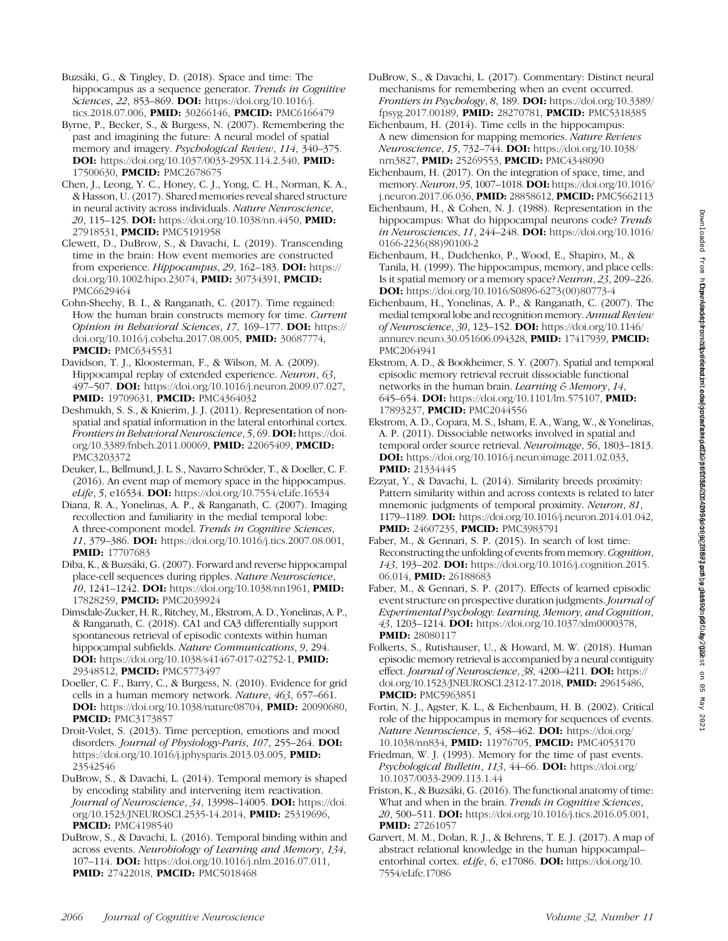- Buzsáki, G., & Tingley, D. (2018). Space and time: The hippocampus as a sequence generator. Trends in Cognitive Sciences, 22, 853-869. **DOI:** [https://doi.org/10.1016/j.](https://doi.org/10.1016/j.tics.2018.07.006) [tics.2018.07.006,](https://doi.org/10.1016/j.tics.2018.07.006) PMID: [30266146,](https://europmc.org/article/MED/30266146) PMCID: [PMC6166479](https://www.ncbi.nlm.nih.gov/pubmed/PMC6166479)
- Byrne, P., Becker, S., & Burgess, N. (2007). Remembering the past and imagining the future: A neural model of spatial memory and imagery. Psychological Review, 114, 340–375. DOI: [https://doi.org/10.1037/0033-295X.114.2.340,](https://doi.org/10.1037/0033-295X.114.2.340) PMID: [17500630](https://europmc.org/article/MED/17500630), PMCID: [PMC2678675](https://www.ncbi.nlm.nih.gov/pubmed/PMC2678675)
- Chen, J., Leong, Y. C., Honey, C. J., Yong, C. H., Norman, K. A., & Hasson, U. (2017). Shared memories reveal shared structure in neural activity across individuals. Nature Neuroscience, 20, 115–125. DOI: [https://doi.org/10.1038/nn.4450,](https://doi.org/10.1038/nn.4450) PMID: [27918531,](https://europmc.org/article/MED/27918531) PMCID: [PMC5191958](https://www.ncbi.nlm.nih.gov/pubmed/PMC5191958)
- Clewett, D., DuBrow, S., & Davachi, L. (2019). Transcending time in the brain: How event memories are constructed from experience. Hippocampus, 29, 162-183. DOI: [https://](https://doi.org/10.1002/hipo.23074) [doi.org/10.1002/hipo.23074](https://doi.org/10.1002/hipo.23074), PMID: [30734391,](https://europmc.org/article/MED/30734391) PMCID: [PMC6629464](https://www.ncbi.nlm.nih.gov/pubmed/PMC6629464)
- Cohn-Sheehy, B. I., & Ranganath, C. (2017). Time regained: How the human brain constructs memory for time. Current Opinion in Behavioral Sciences, 17, 169-177. DOI: [https://](https://doi.org/10.1016/j.cobeha.2017.08.005) [doi.org/10.1016/j.cobeha.2017.08.005](https://doi.org/10.1016/j.cobeha.2017.08.005), PMID: [30687774](https://europmc.org/article/MED/30687774), **PMCID: [PMC6345531](https://www.ncbi.nlm.nih.gov/pubmed/PMC6345531)**
- Davidson, T. J., Kloosterman, F., & Wilson, M. A. (2009). Hippocampal replay of extended experience. Neuron, 63, 497–507. DOI: <https://doi.org/10.1016/j.neuron.2009.07.027>, PMID: [19709631](https://europmc.org/article/MED/19709631), PMCID: [PMC4364032](https://www.ncbi.nlm.nih.gov/pubmed/PMC4364032)
- Deshmukh, S. S., & Knierim, J. J. (2011). Representation of nonspatial and spatial information in the lateral entorhinal cortex. *Frontiers in Behavioral Neuroscience, 5, 69*. **DOI:** [https://doi.](https://doi.org/10.3389/fnbeh.2011.00069) [org/10.3389/fnbeh.2011.00069,](https://doi.org/10.3389/fnbeh.2011.00069) PMID: [22065409](https://europmc.org/article/MED/22065409), PMCID: [PMC3203372](https://www.ncbi.nlm.nih.gov/pubmed/PMC3203372)
- Deuker, L., Bellmund, J. L. S., Navarro Schröder, T., & Doeller, C. F. (2016). An event map of memory space in the hippocampus. eLife, 5, e16534. **DOI:** <https://doi.org/10.7554/eLife.16534>
- Diana, R. A., Yonelinas, A. P., & Ranganath, C. (2007). Imaging recollection and familiarity in the medial temporal lobe: A three-component model. Trends in Cognitive Sciences, 11, 379–386. DOI: <https://doi.org/10.1016/j.tics.2007.08.001>, PMID: [17707683](https://europmc.org/article/MED/17707683)
- Diba, K., & Buzsáki, G. (2007). Forward and reverse hippocampal place-cell sequences during ripples. Nature Neuroscience, 10, 1241–1242. **DOI:** <https://doi.org/10.1038/nn1961>, **PMID:** [17828259,](https://europmc.org/article/MED/17828259) PMCID: [PMC2039924](https://www.ncbi.nlm.nih.gov/pubmed/PMC2039924)
- Dimsdale-Zucker, H. R., Ritchey, M., Ekstrom, A. D., Yonelinas, A. P., & Ranganath, C. (2018). CA1 and CA3 differentially support spontaneous retrieval of episodic contexts within human hippocampal subfields. Nature Communications, 9, 294. DOI: <https://doi.org/10.1038/s41467-017-02752-1>, PMID: [29348512,](https://europmc.org/article/MED/29348512) PMCID: [PMC5773497](https://www.ncbi.nlm.nih.gov/pubmed/PMC5773497)
- Doeller, C. F., Barry, C., & Burgess, N. (2010). Evidence for grid cells in a human memory network. Nature, 463, 657–661. DOI: <https://doi.org/10.1038/nature08704>, PMID: [20090680,](https://europmc.org/article/MED/20090680) **PMCID: [PMC3173857](https://www.ncbi.nlm.nih.gov/pubmed/PMC3173857)**
- Droit-Volet, S. (2013). Time perception, emotions and mood disorders. Journal of Physiology-Paris, 107, 255-264. DOI: <https://doi.org/10.1016/j.jphysparis.2013.03.005>, **PMID:** [23542546](https://europmc.org/article/MED/23542546)
- DuBrow, S., & Davachi, L. (2014). Temporal memory is shaped by encoding stability and intervening item reactivation. Journal of Neuroscience, 34, 13998-14005. DOI: [https://doi.](https://doi.org/10.1523/JNEUROSCI.2535-14.2014) [org/10.1523/JNEUROSCI.2535-14.2014,](https://doi.org/10.1523/JNEUROSCI.2535-14.2014) PMID: [25319696](https://europmc.org/article/MED/25319696), **PMCID: [PMC4198540](https://www.ncbi.nlm.nih.gov/pubmed/PMC4198540)**
- DuBrow, S., & Davachi, L. (2016). Temporal binding within and across events. Neurobiology of Learning and Memory, 134, 107–114. DOI: <https://doi.org/10.1016/j.nlm.2016.07.011>, PMID: [27422018](https://europmc.org/article/MED/27422018), PMCID: [PMC5018468](https://www.ncbi.nlm.nih.gov/pubmed/PMC5018468)
- DuBrow, S., & Davachi, L. (2017). Commentary: Distinct neural mechanisms for remembering when an event occurred. Frontiers in Psychology, 8, 189. DOI: [https://doi.org/10.3389/](https://doi.org/10.3389/fpsyg.2017.00189) [fpsyg.2017.00189,](https://doi.org/10.3389/fpsyg.2017.00189) PMID: [28270781](https://europmc.org/article/MED/28270781), PMCID: [PMC5318385](https://www.ncbi.nlm.nih.gov/pubmed/PMC5318385)
- Eichenbaum, H. (2014). Time cells in the hippocampus: A new dimension for mapping memories. Nature Reviews Neuroscience, 15, 732–744. DOI: [https://doi.org/10.1038/](https://doi.org/10.1038/nrn3827) [nrn3827](https://doi.org/10.1038/nrn3827), PMID: [25269553,](https://europmc.org/article/MED/25269553) PMCID: [PMC4348090](https://www.ncbi.nlm.nih.gov/pubmed/PMC4348090)
- Eichenbaum, H. (2017). On the integration of space, time, and memory.Neuron, 95, 1007–1018. DOI: [https://doi.org/10.1016/](https://doi.org/10.1016/j.neuron.2017.06.036) [j.neuron.2017.06.036](https://doi.org/10.1016/j.neuron.2017.06.036), **PMID:** [28858612,](https://europmc.org/article/MED/28858612) **PMCID:** [PMC5662113](https://www.ncbi.nlm.nih.gov/pubmed/PMC5662113)
- Eichenbaum, H., & Cohen, N. J. (1988). Representation in the hippocampus: What do hippocampal neurons code? Trends in Neurosciences, 11, 244–248. DOI: [https://doi.org/10.1016/](https://doi.org/10.1016/0166-2236(88)90100-2) [0166-2236\(88\)90100-2](https://doi.org/10.1016/0166-2236(88)90100-2)
- Eichenbaum, H., Dudchenko, P., Wood, E., Shapiro, M., & Tanila, H. (1999). The hippocampus, memory, and place cells: Is it spatial memory or a memory space? Neuron, 23, 209–226. DOI: [https://doi.org/10.1016/S0896-6273\(00\)80773-4](https://doi.org/10.1016/S0896-6273(00)80773-4)
- Eichenbaum, H., Yonelinas, A. P., & Ranganath, C. (2007). The medial temporal lobe and recognition memory. Annual Review of Neuroscience, 30, 123–152. DOI: [https://doi.org/10.1146/](https://doi.org/10.1146/annurev.neuro.30.051606.094328) [annurev.neuro.30.051606.094328,](https://doi.org/10.1146/annurev.neuro.30.051606.094328) PMID: [17417939,](https://europmc.org/article/MED/17417939) PMCID: [PMC2064941](https://www.ncbi.nlm.nih.gov/pubmed/PMC2064941)
- Ekstrom, A. D., & Bookheimer, S. Y. (2007). Spatial and temporal episodic memory retrieval recruit dissociable functional networks in the human brain. Learning  $\&$  Memory, 14, 645–654. DOI: [https://doi.org/10.1101/lm.575107,](https://doi.org/10.1101/lm.575107) PMID: [17893237](https://europmc.org/article/MED/17893237), PMCID: [PMC2044556](https://www.ncbi.nlm.nih.gov/pubmed/PMC2044556)
- Ekstrom, A. D., Copara, M. S., Isham, E. A., Wang, W., & Yonelinas, A. P. (2011). Dissociable networks involved in spatial and temporal order source retrieval. Neuroimage, 56, 1803–1813. DOI: [https://doi.org/10.1016/j.neuroimage.2011.02.033,](https://doi.org/10.1016/j.neuroimage.2011.02.033) PMID: [21334445](https://europmc.org/article/MED/21334445)
- Ezzyat, Y., & Davachi, L. (2014). Similarity breeds proximity: Pattern similarity within and across contexts is related to later mnemonic judgments of temporal proximity. Neuron, 81, 1179–1189. DOI: <https://doi.org/10.1016/j.neuron.2014.01.042>, PMID: [24607235,](https://europmc.org/article/MED/24607235) PMCID: [PMC3983791](https://www.ncbi.nlm.nih.gov/pubmed/PMC3983791)
- Faber, M., & Gennari, S. P. (2015). In search of lost time: Reconstructing the unfolding of events from memory.Cognition, 143, 193–202. DOI: [https://doi.org/10.1016/j.cognition.2015.](https://doi.org/10.1016/j.cognition.2015.06.014) [06.014,](https://doi.org/10.1016/j.cognition.2015.06.014) **PMID**: [26188683](https://europmc.org/article/MED/26188683)
- Faber, M., & Gennari, S. P. (2017). Effects of learned episodic event structure on prospective duration judgments. Journal of Experimental Psychology: Learning, Memory, and Cognition, 43, 1203–1214. DOI: [https://doi.org/10.1037/xlm0000378,](https://doi.org/10.1037/xlm0000378) PMID: [28080117](https://europmc.org/article/MED/28080117)
- Folkerts, S., Rutishauser, U., & Howard, M. W. (2018). Human episodic memory retrieval is accompanied by a neural contiguity effect. Journal of Neuroscience, 38, 4200–4211. DOI: [https://](https://doi.org/10.1523/JNEUROSCI.2312-17.2018) [doi.org/10.1523/JNEUROSCI.2312-17.2018,](https://doi.org/10.1523/JNEUROSCI.2312-17.2018) PMID: [29615486,](https://europmc.org/article/MED/29615486) **PMCID: [PMC5963851](https://www.ncbi.nlm.nih.gov/pubmed/PMC5963851)**
- Fortin, N. J., Agster, K. L., & Eichenbaum, H. B. (2002). Critical role of the hippocampus in memory for sequences of events. Nature Neuroscience, 5, 458-462. DOI: [https://doi.org/](https://doi.org/10.1038/nn834) [10.1038/nn834](https://doi.org/10.1038/nn834), PMID: [11976705,](https://europmc.org/article/MED/11976705) PMCID: [PMC4053170](https://www.ncbi.nlm.nih.gov/pubmed/PMC4053170)
- Friedman, W. J. (1993). Memory for the time of past events. Psychological Bulletin, 113, 44–66. DOI: [https://doi.org/](https://doi.org/10.1037/0033-2909.113.1.44) [10.1037/0033-2909.113.1.44](https://doi.org/10.1037/0033-2909.113.1.44)
- Friston, K., & Buzsáki, G. (2016). The functional anatomy of time: What and when in the brain. Trends in Cognitive Sciences, 20, 500–511. DOI: [https://doi.org/10.1016/j.tics.2016.05.001,](https://doi.org/10.1016/j.tics.2016.05.001) **PMID:** [27261057](https://europmc.org/article/MED/27261057)
- Garvert, M. M., Dolan, R. J., & Behrens, T. E. J. (2017). A map of abstract relational knowledge in the human hippocampal– entorhinal cortex. eLife, 6, e17086. **DOI:** [https://doi.org/10.](https://doi.org/10.7554/eLife.17086) [7554/eLife.17086](https://doi.org/10.7554/eLife.17086)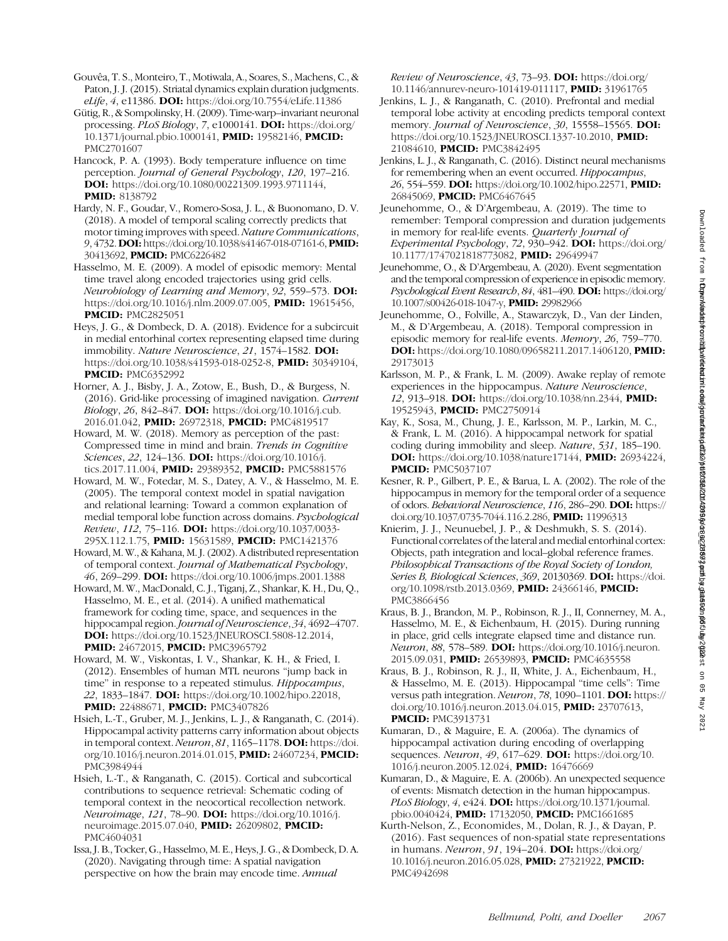Gouvêa, T. S., Monteiro, T., Motiwala, A., Soares, S., Machens, C., & Paton, J. J. (2015). Striatal dynamics explain duration judgments. eLife, 4, e11386. DOI: <https://doi.org/10.7554/eLife.11386>

Gütig, R., & Sompolinsky, H. (2009). Time-warp–invariant neuronal processing. PLoS Biology, 7, e1000141. DOI: [https://doi.org/](https://doi.org/10.1371/journal.pbio.1000141) [10.1371/journal.pbio.1000141](https://doi.org/10.1371/journal.pbio.1000141), PMID: [19582146,](https://europmc.org/article/MED/19582146) PMCID: [PMC2701607](https://www.ncbi.nlm.nih.gov/pubmed/PMC2701607)

Hancock, P. A. (1993). Body temperature influence on time perception. Journal of General Psychology, 120, 197–216. DOI: <https://doi.org/10.1080/00221309.1993.9711144>, PMID: [8138792](https://europmc.org/article/MED/8138792)

Hardy, N. F., Goudar, V., Romero-Sosa, J. L., & Buonomano, D. V. (2018). A model of temporal scaling correctly predicts that motor timing improves with speed. Nature Communications, 9, 4732.DOI: [https://doi.org/10.1038/s41467-018-07161-6,](https://doi.org/10.1038/s41467-018-07161-6)PMID: [30413692](https://europmc.org/article/MED/30413692), PMCID: [PMC6226482](https://www.ncbi.nlm.nih.gov/pubmed/PMC6226482)

Hasselmo, M. E. (2009). A model of episodic memory: Mental time travel along encoded trajectories using grid cells. Neurobiology of Learning and Memory, 92, 559–573. DOI: <https://doi.org/10.1016/j.nlm.2009.07.005>, **PMID:** [19615456,](https://europmc.org/article/MED/19615456) **PMCID: [PMC2825051](https://www.ncbi.nlm.nih.gov/pubmed/PMC2825051)** 

Heys, J. G., & Dombeck, D. A. (2018). Evidence for a subcircuit in medial entorhinal cortex representing elapsed time during immobility. Nature Neuroscience, 21, 1574-1582. DOI: <https://doi.org/10.1038/s41593-018-0252-8>, **PMID:** [30349104,](https://europmc.org/article/MED/30349104) **PMCID: [PMC6352992](https://www.ncbi.nlm.nih.gov/pubmed/PMC6352992)** 

Horner, A. J., Bisby, J. A., Zotow, E., Bush, D., & Burgess, N. (2016). Grid-like processing of imagined navigation. Current Biology, 26, 842–847. DOI: [https://doi.org/10.1016/j.cub.](https://doi.org/10.1016/j.cub.2016.01.042) [2016.01.042,](https://doi.org/10.1016/j.cub.2016.01.042) PMID: [26972318,](https://europmc.org/article/MED/26972318) PMCID: [PMC4819517](https://www.ncbi.nlm.nih.gov/pubmed/PMC4819517)

Howard, M. W. (2018). Memory as perception of the past: Compressed time in mind and brain. Trends in Cognitive Sciences, 22, 124–136. DOI: [https://doi.org/10.1016/j.](https://doi.org/10.1016/j.tics.2017.11.004) [tics.2017.11.004,](https://doi.org/10.1016/j.tics.2017.11.004) PMID: [29389352,](https://europmc.org/article/MED/29389352) PMCID: [PMC5881576](https://www.ncbi.nlm.nih.gov/pubmed/PMC5881576)

Howard, M. W., Fotedar, M. S., Datey, A. V., & Hasselmo, M. E. (2005). The temporal context model in spatial navigation and relational learning: Toward a common explanation of medial temporal lobe function across domains. Psychological Review, 112, 75–116. DOI: [https://doi.org/10.1037/0033-](https://doi.org/10.1037/0033-295X.112.1.75) [295X.112.1.75,](https://doi.org/10.1037/0033-295X.112.1.75) PMID: [15631589](https://europmc.org/article/MED/15631589), PMCID: [PMC1421376](https://www.ncbi.nlm.nih.gov/pubmed/PMC1421376)

Howard, M. W., & Kahana, M. J. (2002). A distributed representation of temporal context. Journal of Mathematical Psychology, 46, 269–299. DOI: <https://doi.org/10.1006/jmps.2001.1388>

Howard, M. W., MacDonald, C. J., Tiganj, Z., Shankar, K. H., Du, Q., Hasselmo, M. E., et al. (2014). A unified mathematical framework for coding time, space, and sequences in the hippocampal region. *Journal of Neuroscience*, 34, 4692–4707. DOI: <https://doi.org/10.1523/JNEUROSCI.5808-12.2014>, **PMID:** [24672015,](https://europmc.org/article/MED/24672015) **PMCID:** [PMC3965792](https://www.ncbi.nlm.nih.gov/pubmed/PMC3965792)

Howard, M. W., Viskontas, I. V., Shankar, K. H., & Fried, I. (2012). Ensembles of human MTL neurons "jump back in time" in response to a repeated stimulus. Hippocampus, 22, 1833–1847. DOI: <https://doi.org/10.1002/hipo.22018>, PMID: [22488671](https://europmc.org/article/MED/22488671), PMCID: [PMC3407826](https://www.ncbi.nlm.nih.gov/pubmed/PMC3407826)

Hsieh, L.-T., Gruber, M. J., Jenkins, L. J., & Ranganath, C. (2014). Hippocampal activity patterns carry information about objects in temporal context. Neuron, 81, 1165–1178. DOI: [https://doi.](https://doi.org/10.1016/j.neuron.2014.01.015) [org/10.1016/j.neuron.2014.01.015](https://doi.org/10.1016/j.neuron.2014.01.015), **PMID:** [24607234](https://europmc.org/article/MED/24607234), **PMCID:** [PMC3984944](https://www.ncbi.nlm.nih.gov/pubmed/PMC3984944)

Hsieh, L.-T., & Ranganath, C. (2015). Cortical and subcortical contributions to sequence retrieval: Schematic coding of temporal context in the neocortical recollection network. Neuroimage, 121, 78–90. DOI: [https://doi.org/10.1016/j.](https://doi.org/10.1016/j.neuroimage.2015.07.040) [neuroimage.2015.07.040,](https://doi.org/10.1016/j.neuroimage.2015.07.040) PMID: [26209802](https://europmc.org/article/MED/26209802), PMCID: [PMC4604031](https://www.ncbi.nlm.nih.gov/pubmed/PMC4604031)

Issa, J. B., Tocker, G., Hasselmo, M. E., Heys, J. G., & Dombeck, D. A. (2020). Navigating through time: A spatial navigation perspective on how the brain may encode time. Annual

Review of Neuroscience, 43, 73-93. DOI: [https://doi.org/](https://doi.org/10.1146/annurev-neuro-101419-011117) [10.1146/annurev-neuro-101419-011117](https://doi.org/10.1146/annurev-neuro-101419-011117), PMID: [31961765](https://europmc.org/article/MED/31961765)

Jenkins, L. J., & Ranganath, C. (2010). Prefrontal and medial temporal lobe activity at encoding predicts temporal context memory. Journal of Neuroscience, 30, 15558-15565. DOI: [https://doi.org/10.1523/JNEUROSCI.1337-10.2010,](https://doi.org/10.1523/JNEUROSCI.1337-10.2010) PMID: [21084610,](https://europmc.org/article/MED/21084610) PMCID: [PMC3842495](https://www.ncbi.nlm.nih.gov/pubmed/PMC3842495)

Jenkins, L. J., & Ranganath, C. (2016). Distinct neural mechanisms for remembering when an event occurred. Hippocampus, 26, 554–559. **DOI:** [https://doi.org/10.1002/hipo.22571,](https://doi.org/10.1002/hipo.22571) **PMID:** [26845069](https://europmc.org/article/MED/26845069), **PMCID**: [PMC6467645](https://www.ncbi.nlm.nih.gov/pubmed/PMC6467645)

Jeunehomme, O., & D'Argembeau, A. (2019). The time to remember: Temporal compression and duration judgements in memory for real-life events. Quarterly Journal of Experimental Psychology, 72, 930-942. DOI: [https://doi.org/](https://doi.org/10.1177/1747021818773082) [10.1177/1747021818773082,](https://doi.org/10.1177/1747021818773082) PMID: [29649947](https://europmc.org/article/MED/29649947)

Jeunehomme, O., & D'Argembeau, A. (2020). Event segmentation and the temporal compression of experience in episodic memory. Psychological Event Research, 84, 481-490. DOI: [https://doi.org/](https://doi.org/10.1007/s00426-018-1047-y) [10.1007/s00426-018-1047-y](https://doi.org/10.1007/s00426-018-1047-y), PMID: [29982966](https://europmc.org/article/MED/29982966)

Jeunehomme, O., Folville, A., Stawarczyk, D., Van der Linden, M., & D'Argembeau, A. (2018). Temporal compression in episodic memory for real-life events. Memory, 26, 759–770. DOI: <https://doi.org/10.1080/09658211.2017.1406120>, PMID: [29173013](https://europmc.org/article/MED/29173013)

Karlsson, M. P., & Frank, L. M. (2009). Awake replay of remote experiences in the hippocampus. Nature Neuroscience, 12, 913–918. DOI: <https://doi.org/10.1038/nn.2344>, PMID: [19525943,](https://europmc.org/article/MED/19525943) PMCID: [PMC2750914](https://www.ncbi.nlm.nih.gov/pubmed/PMC2750914)

Kay, K., Sosa, M., Chung, J. E., Karlsson, M. P., Larkin, M. C., & Frank, L. M. (2016). A hippocampal network for spatial coding during immobility and sleep. Nature, 531, 185–190. DOI: <https://doi.org/10.1038/nature17144>, PMID: [26934224,](https://europmc.org/article/MED/26934224) **PMCID: [PMC5037107](https://www.ncbi.nlm.nih.gov/pubmed/PMC5037107)** 

Kesner, R. P., Gilbert, P. E., & Barua, L. A. (2002). The role of the hippocampus in memory for the temporal order of a sequence of odors. Behavioral Neuroscience, 116, 286–290. DOI: [https://](https://doi.org/10.1037/0735-7044.116.2.286) [doi.org/10.1037/0735-7044.116.2.286,](https://doi.org/10.1037/0735-7044.116.2.286) PMID: [11996313](https://europmc.org/article/MED/11996313)

Knierim, J. J., Neunuebel, J. P., & Deshmukh, S. S. (2014). Functional correlates of the lateral and medial entorhinal cortex: Objects, path integration and local–global reference frames. Philosophical Transactions of the Royal Society of London, Series B, Biological Sciences, 369, 20130369. DOI: [https://doi.](https://doi.org/10.1098/rstb.2013.0369) [org/10.1098/rstb.2013.0369,](https://doi.org/10.1098/rstb.2013.0369) PMID: [24366146](https://europmc.org/article/MED/24366146), PMCID: [PMC3866456](https://www.ncbi.nlm.nih.gov/pubmed/PMC3866456)

Kraus, B. J., Brandon, M. P., Robinson, R. J., II, Connerney, M. A., Hasselmo, M. E., & Eichenbaum, H. (2015). During running in place, grid cells integrate elapsed time and distance run. Neuron, 88, 578–589. **DOI:** [https://doi.org/10.1016/j.neuron.](https://doi.org/10.1016/j.neuron.2015.09.031) [2015.09.031](https://doi.org/10.1016/j.neuron.2015.09.031), PMID: [26539893](https://europmc.org/article/MED/26539893), PMCID: [PMC4635558](https://www.ncbi.nlm.nih.gov/pubmed/PMC4635558)

Kraus, B. J., Robinson, R. J., II, White, J. A., Eichenbaum, H., & Hasselmo, M. E. (2013). Hippocampal "time cells": Time versus path integration. Neuron, 78, 1090–1101. DOI: [https://](https://doi.org/10.1016/j.neuron.2013.04.015) [doi.org/10.1016/j.neuron.2013.04.015](https://doi.org/10.1016/j.neuron.2013.04.015), PMID: [23707613,](https://europmc.org/article/MED/23707613) **PMCID: [PMC3913731](https://www.ncbi.nlm.nih.gov/pubmed/PMC3913731)** 

Kumaran, D., & Maguire, E. A. (2006a). The dynamics of hippocampal activation during encoding of overlapping sequences. *Neuron*, 49, 617–629. **DOI:** [https://doi.org/10.](https://doi.org/10.1016/j.neuron.2005.12.024) [1016/j.neuron.2005.12.024,](https://doi.org/10.1016/j.neuron.2005.12.024) PMID: [16476669](https://europmc.org/article/MED/16476669)

Kumaran, D., & Maguire, E. A. (2006b). An unexpected sequence of events: Mismatch detection in the human hippocampus. PLoS Biology, 4, e424. DOI: [https://doi.org/10.1371/journal.](https://doi.org/10.1371/journal.pbio.0040424) [pbio.0040424](https://doi.org/10.1371/journal.pbio.0040424), PMID: [17132050](https://europmc.org/article/MED/17132050), PMCID: [PMC1661685](https://www.ncbi.nlm.nih.gov/pubmed/PMC1661685)

Kurth-Nelson, Z., Economides, M., Dolan, R. J., & Dayan, P. (2016). Fast sequences of non-spatial state representations in humans. Neuron, 91, 194–204. DOI: [https://doi.org/](https://doi.org/10.1016/j.neuron.2016.05.028) [10.1016/j.neuron.2016.05.028](https://doi.org/10.1016/j.neuron.2016.05.028), PMID: [27321922,](https://europmc.org/article/MED/27321922) PMCID: [PMC4942698](https://www.ncbi.nlm.nih.gov/pubmed/PMC4942698)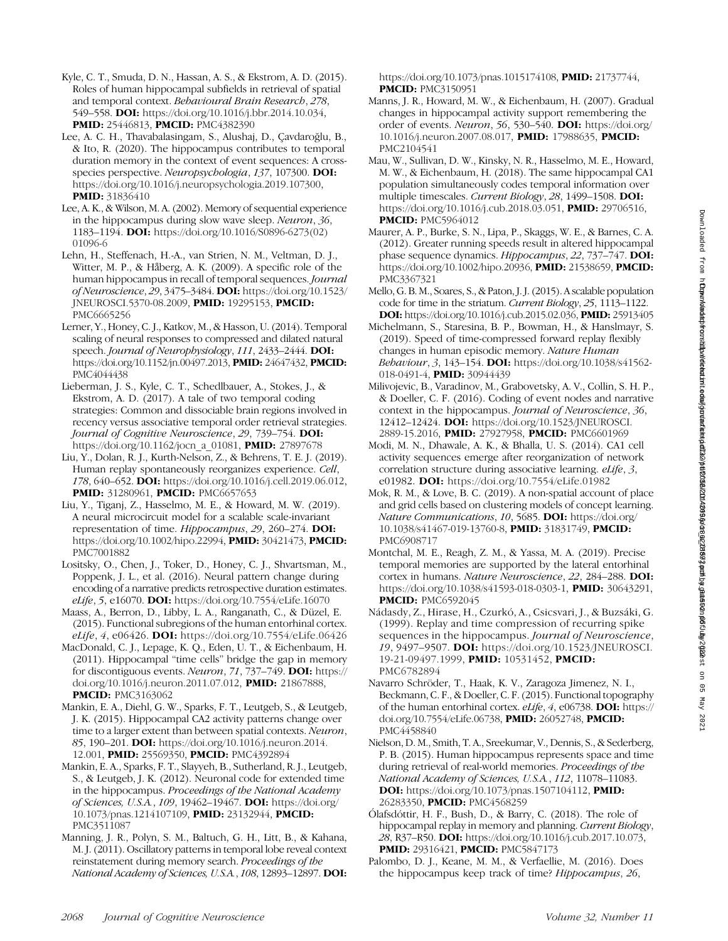- Kyle, C. T., Smuda, D. N., Hassan, A. S., & Ekstrom, A. D. (2015). Roles of human hippocampal subfields in retrieval of spatial and temporal context. Behavioural Brain Research, 278, 549–558. DOI: <https://doi.org/10.1016/j.bbr.2014.10.034>, PMID: [25446813,](https://europmc.org/article/MED/25446813) PMCID: [PMC4382390](https://www.ncbi.nlm.nih.gov/pubmed/PMC4382390)
- Lee, A. C. H., Thavabalasingam, S., Alushaj, D., Çavdaroğlu, B., & Ito, R. (2020). The hippocampus contributes to temporal duration memory in the context of event sequences: A crossspecies perspective. Neuropsychologia, 137, 107300. DOI: [https://doi.org/10.1016/j.neuropsychologia.2019.107300,](https://doi.org/10.1016/j.neuropsychologia.2019.107300) **PMID:** [31836410](https://europmc.org/article/MED/31836410)
- Lee, A. K., & Wilson, M. A. (2002). Memory of sequential experience in the hippocampus during slow wave sleep. Neuron, 36, 1183–1194. DOI: [https://doi.org/10.1016/S0896-6273\(02\)](https://doi.org/10.1016/S0896-6273(02)01096-6) [01096-6](https://doi.org/10.1016/S0896-6273(02)01096-6)
- Lehn, H., Steffenach, H.-A., van Strien, N. M., Veltman, D. J., Witter, M. P., & Håberg, A. K. (2009). A specific role of the human hippocampus in recall of temporal sequences. Journal of Neuroscience, 29, 3475–3484. DOI: [https://doi.org/10.1523/](https://doi.org/10.1523/JNEUROSCI.5370-08.2009) [JNEUROSCI.5370-08.2009,](https://doi.org/10.1523/JNEUROSCI.5370-08.2009) PMID: [19295153](https://europmc.org/article/MED/19295153), PMCID: [PMC6665256](https://www.ncbi.nlm.nih.gov/pubmed/PMC6665256)
- Lerner, Y., Honey, C. J., Katkov, M., & Hasson, U. (2014). Temporal scaling of neural responses to compressed and dilated natural speech. Journal of Neurophysiology, 111, 2433-2444. DOI: [https://doi.org/10.1152/jn.00497.2013,](https://doi.org/10.1152/jn.00497.2013) **PMID:** [24647432,](https://europmc.org/article/MED/24647432) **PMCID:** [PMC4044438](https://www.ncbi.nlm.nih.gov/pubmed/PMC4044438)
- Lieberman, J. S., Kyle, C. T., Schedlbauer, A., Stokes, J., & Ekstrom, A. D. (2017). A tale of two temporal coding strategies: Common and dissociable brain regions involved in recency versus associative temporal order retrieval strategies. Journal of Cognitive Neuroscience, 29, 739-754. DOI: [https://doi.org/10.1162/jocn\\_a\\_01081,](https://doi.org/10.1162/jocn_a_01081) PMID: [27897678](https://europmc.org/article/MED/27897678)
- Liu, Y., Dolan, R. J., Kurth-Nelson, Z., & Behrens, T. E. J. (2019). Human replay spontaneously reorganizes experience. Cell, 178, 640–652. DOI: [https://doi.org/10.1016/j.cell.2019.06.012,](https://doi.org/10.1016/j.cell.2019.06.012) PMID: [31280961](https://europmc.org/article/MED/31280961), PMCID: [PMC6657653](https://www.ncbi.nlm.nih.gov/pubmed/PMC6657653)
- Liu, Y., Tiganj, Z., Hasselmo, M. E., & Howard, M. W. (2019). A neural microcircuit model for a scalable scale-invariant representation of time. Hippocampus, 29, 260-274. DOI: [https://doi.org/10.1002/hipo.22994,](https://doi.org/10.1002/hipo.22994) PMID: [30421473,](https://europmc.org/article/MED/30421473) PMCID: [PMC7001882](https://www.ncbi.nlm.nih.gov/pubmed/PMC7001882)
- Lositsky, O., Chen, J., Toker, D., Honey, C. J., Shvartsman, M., Poppenk, J. L., et al. (2016). Neural pattern change during encoding of a narrative predicts retrospective duration estimates. eLife, 5, e16070. DOI: <https://doi.org/10.7554/eLife.16070>
- Maass, A., Berron, D., Libby, L. A., Ranganath, C., & Düzel, E. (2015). Functional subregions of the human entorhinal cortex. eLife, 4, e06426. **DOI:** <https://doi.org/10.7554/eLife.06426>
- MacDonald, C. J., Lepage, K. Q., Eden, U. T., & Eichenbaum, H. (2011). Hippocampal "time cells" bridge the gap in memory for discontiguous events. Neuron, 71, 737-749. DOI: [https://](https://doi.org/10.1016/j.neuron.2011.07.012) [doi.org/10.1016/j.neuron.2011.07.012](https://doi.org/10.1016/j.neuron.2011.07.012), PMID: [21867888](https://europmc.org/article/MED/21867888), **PMCID: [PMC3163062](https://www.ncbi.nlm.nih.gov/pubmed/PMC3163062)**
- Mankin, E. A., Diehl, G. W., Sparks, F. T., Leutgeb, S., & Leutgeb, J. K. (2015). Hippocampal CA2 activity patterns change over time to a larger extent than between spatial contexts. Neuron, 85, 190–201. DOI: [https://doi.org/10.1016/j.neuron.2014.](https://doi.org/10.1016/j.neuron.2014.12.001) [12.001,](https://doi.org/10.1016/j.neuron.2014.12.001) PMID: [25569350](https://europmc.org/article/MED/25569350), PMCID: [PMC4392894](https://www.ncbi.nlm.nih.gov/pubmed/PMC4392894)
- Mankin, E. A., Sparks, F. T., Slayyeh, B., Sutherland, R. J., Leutgeb, S., & Leutgeb, J. K. (2012). Neuronal code for extended time in the hippocampus. Proceedings of the National Academy of Sciences, U.S.A., 109, 19462-19467. DOI: [https://doi.org/](https://doi.org/10.1073/pnas.1214107109) [10.1073/pnas.1214107109,](https://doi.org/10.1073/pnas.1214107109) PMID: [23132944](https://europmc.org/article/MED/23132944), PMCID: [PMC3511087](https://www.ncbi.nlm.nih.gov/pubmed/PMC3511087)
- Manning, J. R., Polyn, S. M., Baltuch, G. H., Litt, B., & Kahana, M. J. (2011). Oscillatory patterns in temporal lobe reveal context reinstatement during memory search. Proceedings of the National Academy of Sciences, U.S.A., 108, 12893-12897. DOI:

[https://doi.org/10.1073/pnas.1015174108,](https://doi.org/10.1073/pnas.1015174108) PMID: [21737744,](https://europmc.org/article/MED/21737744) **PMCID: [PMC3150951](https://www.ncbi.nlm.nih.gov/pubmed/PMC3150951)** 

- Manns, J. R., Howard, M. W., & Eichenbaum, H. (2007). Gradual changes in hippocampal activity support remembering the order of events. Neuron, 56, 530–540. DOI: [https://doi.org/](https://doi.org/10.1016/j.neuron.2007.08.017) [10.1016/j.neuron.2007.08.017,](https://doi.org/10.1016/j.neuron.2007.08.017) PMID: [17988635,](https://europmc.org/article/MED/17988635) PMCID: [PMC2104541](https://www.ncbi.nlm.nih.gov/pubmed/PMC2104541)
- Mau, W., Sullivan, D. W., Kinsky, N. R., Hasselmo, M. E., Howard, M. W., & Eichenbaum, H. (2018). The same hippocampal CA1 population simultaneously codes temporal information over multiple timescales. Current Biology, 28, 1499-1508. DOI: <https://doi.org/10.1016/j.cub.2018.03.051>, PMID: [29706516,](https://europmc.org/article/MED/29706516) **PMCID: [PMC5964012](https://www.ncbi.nlm.nih.gov/pubmed/PMC5964012)**
- Maurer, A. P., Burke, S. N., Lipa, P., Skaggs, W. E., & Barnes, C. A. (2012). Greater running speeds result in altered hippocampal phase sequence dynamics. Hippocampus, 22, 737-747. DOI: [https://doi.org/10.1002/hipo.20936,](https://doi.org/10.1002/hipo.20936) PMID: [21538659,](https://europmc.org/article/MED/21538659) PMCID: [PMC3367321](https://www.ncbi.nlm.nih.gov/pubmed/PMC3367321)
- Mello, G. B. M., Soares, S., & Paton, J. J. (2015). A scalable population code for time in the striatum. Current Biology, 25, 1113–1122. DOI: <https://doi.org/10.1016/j.cub.2015.02.036>, PMID: [25913405](https://europmc.org/article/MED/25913405)
- Michelmann, S., Staresina, B. P., Bowman, H., & Hanslmayr, S. (2019). Speed of time-compressed forward replay flexibly changes in human episodic memory. Nature Human Behaviour, 3, 143–154. DOI: [https://doi.org/10.1038/s41562-](https://doi.org/10.1038/s41562-018-0491-4) [018-0491-4,](https://doi.org/10.1038/s41562-018-0491-4) **PMID**: [30944439](https://europmc.org/article/MED/30944439)
- Milivojevic, B., Varadinov, M., Grabovetsky, A. V., Collin, S. H. P., & Doeller, C. F. (2016). Coding of event nodes and narrative context in the hippocampus. Journal of Neuroscience, 36, 12412–12424. DOI: [https://doi.org/10.1523/JNEUROSCI.](https://doi.org/10.1523/JNEUROSCI.2889-15.2016) [2889-15.2016,](https://doi.org/10.1523/JNEUROSCI.2889-15.2016) PMID: [27927958](https://europmc.org/article/MED/27927958), PMCID: [PMC6601969](https://www.ncbi.nlm.nih.gov/pubmed/PMC6601969)
- Modi, M. N., Dhawale, A. K., & Bhalla, U. S. (2014). CA1 cell activity sequences emerge after reorganization of network correlation structure during associative learning. eLife, 3, e01982. DOI: <https://doi.org/10.7554/eLife.01982>
- Mok, R. M., & Love, B. C. (2019). A non-spatial account of place and grid cells based on clustering models of concept learning. Nature Communications, 10, 5685. DOI: [https://doi.org/](https://doi.org/10.1038/s41467-019-13760-8) [10.1038/s41467-019-13760-8,](https://doi.org/10.1038/s41467-019-13760-8) PMID: [31831749](https://europmc.org/article/MED/31831749), PMCID: [PMC6908717](https://www.ncbi.nlm.nih.gov/pubmed/PMC6908717)
- Montchal, M. E., Reagh, Z. M., & Yassa, M. A. (2019). Precise temporal memories are supported by the lateral entorhinal cortex in humans. Nature Neuroscience, 22, 284–288. DOI: <https://doi.org/10.1038/s41593-018-0303-1>, PMID: [30643291,](https://europmc.org/article/MED/30643291) **PMCID: [PMC6592045](https://www.ncbi.nlm.nih.gov/pubmed/PMC6592045)**
- Nádasdy, Z., Hirase, H., Czurkó, A., Csicsvari, J., & Buzsáki, G. (1999). Replay and time compression of recurring spike sequences in the hippocampus. Journal of Neuroscience, 19, 9497–9507. DOI: [https://doi.org/10.1523/JNEUROSCI.](https://doi.org/10.1523/JNEUROSCI.19-21-09497.1999) [19-21-09497.1999,](https://doi.org/10.1523/JNEUROSCI.19-21-09497.1999) PMID: [10531452](https://europmc.org/article/MED/10531452), PMCID: [PMC6782894](https://www.ncbi.nlm.nih.gov/pubmed/PMC6782894)
- Navarro Schröder, T., Haak, K. V., Zaragoza Jimenez, N. I., Beckmann, C. F., & Doeller, C. F. (2015). Functional topography of the human entorhinal cortex. eLife, 4, e06738. DOI: [https://](https://doi.org/10.7554/eLife.06738) [doi.org/10.7554/eLife.06738,](https://doi.org/10.7554/eLife.06738) PMID: [26052748,](https://europmc.org/article/MED/26052748) PMCID: [PMC4458840](https://www.ncbi.nlm.nih.gov/pubmed/PMC4458840)
- Nielson, D. M., Smith, T. A., Sreekumar, V., Dennis, S., & Sederberg, P. B. (2015). Human hippocampus represents space and time during retrieval of real-world memories. Proceedings of the National Academy of Sciences, U.S.A., 112, 11078–11083. DOI: <https://doi.org/10.1073/pnas.1507104112>, PMID: [26283350](https://europmc.org/article/MED/26283350), PMCID: [PMC4568259](https://www.ncbi.nlm.nih.gov/pubmed/PMC4568259)
- Ólafsdóttir, H. F., Bush, D., & Barry, C. (2018). The role of hippocampal replay in memory and planning. Current Biology, 28, R37–R50. DOI: <https://doi.org/10.1016/j.cub.2017.10.073>, PMID: [29316421,](https://europmc.org/article/MED/29316421) PMCID: [PMC5847173](https://www.ncbi.nlm.nih.gov/pubmed/PMC5847173)
- Palombo, D. J., Keane, M. M., & Verfaellie, M. (2016). Does the hippocampus keep track of time? Hippocampus, 26,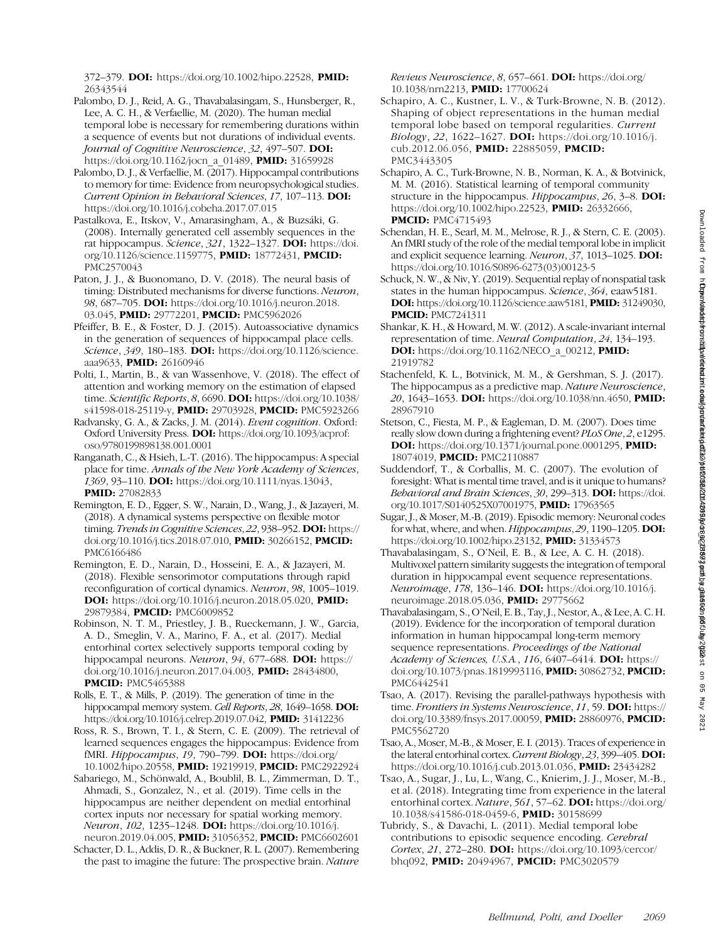372–379. DOI: [https://doi.org/10.1002/hipo.22528,](https://doi.org/10.1002/hipo.22528) PMID: [26343544](https://europmc.org/article/MED/26343544)

Palombo, D. J., Reid, A. G., Thavabalasingam, S., Hunsberger, R., Lee, A. C. H., & Verfaellie, M. (2020). The human medial temporal lobe is necessary for remembering durations within a sequence of events but not durations of individual events. Journal of Cognitive Neuroscience, 32, 497-507. DOI: [https://doi.org/10.1162/jocn\\_a\\_01489,](https://doi.org/10.1162/jocn_a_01489) PMID: [31659928](https://europmc.org/article/MED/31659928)

Palombo, D. J., & Verfaellie, M. (2017). Hippocampal contributions to memory for time: Evidence from neuropsychological studies. Current Opinion in Behavioral Sciences, 17, 107–113. DOI: <https://doi.org/10.1016/j.cobeha.2017.07.015>

Pastalkova, E., Itskov, V., Amarasingham, A., & Buzsáki, G. (2008). Internally generated cell assembly sequences in the rat hippocampus. Science, 321, 1322-1327. DOI: [https://doi.](https://doi.org/10.1126/science.1159775) [org/10.1126/science.1159775](https://doi.org/10.1126/science.1159775), PMID: [18772431](https://europmc.org/article/MED/18772431), PMCID: [PMC2570043](https://www.ncbi.nlm.nih.gov/pubmed/PMC2570043)

Paton, J. J., & Buonomano, D. V. (2018). The neural basis of timing: Distributed mechanisms for diverse functions. Neuron, 98, 687–705. DOI: [https://doi.org/10.1016/j.neuron.2018.](https://doi.org/10.1016/j.neuron.2018.03.045) [03.045,](https://doi.org/10.1016/j.neuron.2018.03.045) PMID: [29772201](https://europmc.org/article/MED/29772201), PMCID: [PMC5962026](https://www.ncbi.nlm.nih.gov/pubmed/PMC5962026)

Pfeiffer, B. E., & Foster, D. J. (2015). Autoassociative dynamics in the generation of sequences of hippocampal place cells. Science, 349, 180-183. DOI: [https://doi.org/10.1126/science.](https://doi.org/10.1126/science.aaa9633) [aaa9633](https://doi.org/10.1126/science.aaa9633), PMID: [26160946](https://europmc.org/article/MED/26160946)

Polti, I., Martin, B., & van Wassenhove, V. (2018). The effect of attention and working memory on the estimation of elapsed time. Scientific Reports, 8, 6690. DOI: [https://doi.org/10.1038/](https://doi.org/10.1038/s41598-018-25119-y) [s41598-018-25119-y](https://doi.org/10.1038/s41598-018-25119-y), PMID: [29703928,](https://europmc.org/article/MED/29703928) PMCID: [PMC5923266](https://www.ncbi.nlm.nih.gov/pubmed/PMC5923266)

Radvansky, G. A., & Zacks, J. M. (2014). Event cognition. Oxford: Oxford University Press. DOI: [https://doi.org/10.1093/acprof:](https://doi.org/10.1093/acprof:oso/9780199898138.001.0001) [oso/9780199898138.001.0001](https://doi.org/10.1093/acprof:oso/9780199898138.001.0001)

Ranganath, C., & Hsieh, L.-T. (2016). The hippocampus: A special place for time. Annals of the New York Academy of Sciences, 1369, 93–110. DOI: <https://doi.org/10.1111/nyas.13043>, PMID: [27082833](https://europmc.org/article/MED/27082833)

Remington, E. D., Egger, S. W., Narain, D., Wang, J., & Jazayeri, M. (2018). A dynamical systems perspective on flexible motor timing. Trends in Cognitive Sciences, 22, 938-952. DOI: [https://](https://doi.org/10.1016/j.tics.2018.07.010) [doi.org/10.1016/j.tics.2018.07.010,](https://doi.org/10.1016/j.tics.2018.07.010) PMID: [30266152](https://europmc.org/article/MED/30266152), PMCID: [PMC6166486](https://www.ncbi.nlm.nih.gov/pubmed/PMC6166486)

Remington, E. D., Narain, D., Hosseini, E. A., & Jazayeri, M. (2018). Flexible sensorimotor computations through rapid reconfiguration of cortical dynamics. Neuron, 98, 1005–1019. DOI: <https://doi.org/10.1016/j.neuron.2018.05.020>, PMID: [29879384,](https://europmc.org/article/MED/29879384) PMCID: [PMC6009852](https://www.ncbi.nlm.nih.gov/pubmed/PMC6009852)

Robinson, N. T. M., Priestley, J. B., Rueckemann, J. W., Garcia, A. D., Smeglin, V. A., Marino, F. A., et al. (2017). Medial entorhinal cortex selectively supports temporal coding by hippocampal neurons. Neuron, 94, 677-688. DOI: [https://](https://doi.org/10.1016/j.neuron.2017.04.003) [doi.org/10.1016/j.neuron.2017.04.003](https://doi.org/10.1016/j.neuron.2017.04.003), PMID: [28434800](https://europmc.org/article/MED/28434800), **PMCID: [PMC5465388](https://www.ncbi.nlm.nih.gov/pubmed/PMC5465388)** 

Rolls, E. T., & Mills, P. (2019). The generation of time in the hippocampal memory system. Cell Reports, 28, 1649-1658. DOI: <https://doi.org/10.1016/j.celrep.2019.07.042>, PMID: [31412236](https://europmc.org/article/MED/31412236)

Ross, R. S., Brown, T. I., & Stern, C. E. (2009). The retrieval of learned sequences engages the hippocampus: Evidence from fMRI. Hippocampus, 19, 790–799. DOI: [https://doi.org/](https://doi.org/10.1002/hipo.20558) [10.1002/hipo.20558,](https://doi.org/10.1002/hipo.20558) PMID: [19219919,](https://europmc.org/article/MED/19219919) PMCID: [PMC2922924](https://www.ncbi.nlm.nih.gov/pubmed/PMC2922924)

Sabariego, M., Schönwald, A., Boublil, B. L., Zimmerman, D. T., Ahmadi, S., Gonzalez, N., et al. (2019). Time cells in the hippocampus are neither dependent on medial entorhinal cortex inputs nor necessary for spatial working memory. Neuron, 102, 1235–1248. **DOI:** [https://doi.org/10.1016/j.](https://doi.org/10.1016/j.neuron.2019.04.005) [neuron.2019.04.005,](https://doi.org/10.1016/j.neuron.2019.04.005) PMID: [31056352](https://europmc.org/article/MED/31056352), PMCID: [PMC6602601](https://www.ncbi.nlm.nih.gov/pubmed/PMC6602601)

Schacter, D. L., Addis, D. R., & Buckner, R. L. (2007). Remembering the past to imagine the future: The prospective brain. Nature

Reviews Neuroscience, 8, 657-661. DOI: [https://doi.org/](https://doi.org/10.1038/nrn2213) [10.1038/nrn2213,](https://doi.org/10.1038/nrn2213) PMID: [17700624](https://europmc.org/article/MED/17700624)

Schapiro, A. C., Kustner, L. V., & Turk-Browne, N. B. (2012). Shaping of object representations in the human medial temporal lobe based on temporal regularities. Current Biology, 22, 1622–1627. **DOI:** [https://doi.org/10.1016/j.](https://doi.org/10.1016/j.cub.2012.06.056) [cub.2012.06.056,](https://doi.org/10.1016/j.cub.2012.06.056) PMID: [22885059](https://europmc.org/article/MED/22885059), PMCID: [PMC3443305](https://www.ncbi.nlm.nih.gov/pubmed/PMC3443305)

Schapiro, A. C., Turk-Browne, N. B., Norman, K. A., & Botvinick, M. M. (2016). Statistical learning of temporal community structure in the hippocampus. Hippocampus, 26, 3-8. DOI: [https://doi.org/10.1002/hipo.22523,](https://doi.org/10.1002/hipo.22523) PMID: [26332666,](https://europmc.org/article/MED/26332666) **PMCID: [PMC4715493](https://www.ncbi.nlm.nih.gov/pubmed/PMC4715493)** 

Schendan, H. E., Searl, M. M., Melrose, R. J., & Stern, C. E. (2003). An fMRI study of the role of the medial temporal lobe in implicit and explicit sequence learning. Neuron, 37, 1013-1025. DOI: [https://doi.org/10.1016/S0896-6273\(03\)00123-5](https://doi.org/10.1016/S0896-6273(03)00123-5)

Schuck, N. W., & Niv, Y. (2019). Sequential replay of nonspatial task states in the human hippocampus. Science, 364, eaaw5181. DOI: <https://doi.org/10.1126/science.aaw5181>, PMID: [31249030,](https://europmc.org/article/MED/31249030) **PMCID: [PMC7241311](https://www.ncbi.nlm.nih.gov/pubmed/PMC7241311)** 

Shankar, K. H., & Howard, M. W. (2012). A scale-invariant internal representation of time. Neural Computation, 24, 134–193. DOI: [https://doi.org/10.1162/NECO\\_a\\_00212,](https://doi.org/10.1162/NECO_a_00212) PMID: [21919782](https://europmc.org/article/MED/21919782)

- Stachenfeld, K. L., Botvinick, M. M., & Gershman, S. J. (2017). The hippocampus as a predictive map. Nature Neuroscience, 20, 1643–1653. DOI: [https://doi.org/10.1038/nn.4650,](https://doi.org/10.1038/nn.4650) PMID: [28967910](https://europmc.org/article/MED/28967910)
- Stetson, C., Fiesta, M. P., & Eagleman, D. M. (2007). Does time really slow down during a frightening event? PLoS One, 2, e1295. DOI: [https://doi.org/10.1371/journal.pone.0001295,](https://doi.org/10.1371/journal.pone.0001295) PMID: [18074019,](https://europmc.org/article/MED/18074019) PMCID: [PMC2110887](https://www.ncbi.nlm.nih.gov/pubmed/PMC2110887)

Suddendorf, T., & Corballis, M. C. (2007). The evolution of foresight: What is mental time travel, and is it unique to humans? Behavioral and Brain Sciences, 30, 299-313. DOI: [https://doi.](https://doi.org/10.1017/S0140525X07001975) [org/10.1017/S0140525X07001975](https://doi.org/10.1017/S0140525X07001975), PMID: [17963565](https://europmc.org/article/MED/17963565)

Sugar, J., & Moser, M.-B. (2019). Episodic memory: Neuronal codes for what, where, and when. Hippocampus, 29, 1190-1205. DOI: <https://doi.org/10.1002/hipo.23132>, PMID: [31334573](https://europmc.org/article/MED/31334573)

Thavabalasingam, S., O'Neil, E. B., & Lee, A. C. H. (2018). Multivoxel pattern similarity suggests the integration of temporal duration in hippocampal event sequence representations. Neuroimage, 178, 136–146. DOI: [https://doi.org/10.1016/j.](https://doi.org/10.1016/j.neuroimage.2018.05.036) [neuroimage.2018.05.036,](https://doi.org/10.1016/j.neuroimage.2018.05.036) PMID: [29775662](https://europmc.org/article/MED/29775662)

Thavabalasingam, S., O'Neil, E. B., Tay, J., Nestor, A., & Lee, A. C. H. (2019). Evidence for the incorporation of temporal duration information in human hippocampal long-term memory sequence representations. Proceedings of the National Academy of Sciences, U.S.A., 116, 6407–6414. DOI: [https://](https://doi.org/10.1073/pnas.1819993116) [doi.org/10.1073/pnas.1819993116](https://doi.org/10.1073/pnas.1819993116), PMID: [30862732](https://europmc.org/article/MED/30862732), PMCID: [PMC6442541](https://www.ncbi.nlm.nih.gov/pubmed/PMC6442541)

Tsao, A. (2017). Revising the parallel-pathways hypothesis with time. Frontiers in Systems Neuroscience, 11, 59. DOI: [https://](https://doi.org/10.3389/fnsys.2017.00059) [doi.org/10.3389/fnsys.2017.00059,](https://doi.org/10.3389/fnsys.2017.00059) PMID: [28860976](https://europmc.org/article/MED/28860976), PMCID: [PMC5562720](https://www.ncbi.nlm.nih.gov/pubmed/PMC5562720)

Tsao, A., Moser, M.-B., & Moser, E. I. (2013). Traces of experience in the lateral entorhinal cortex. *Current Biology*, 23, 399–405. **DOI:** <https://doi.org/10.1016/j.cub.2013.01.036>, PMID: [23434282](https://europmc.org/article/MED/23434282)

Tsao, A., Sugar, J., Lu, L., Wang, C., Knierim, J. J., Moser, M.-B., et al. (2018). Integrating time from experience in the lateral entorhinal cortex. Nature, 561, 57-62. DOI: [https://doi.org/](https://doi.org/10.1038/s41586-018-0459-6) [10.1038/s41586-018-0459-6,](https://doi.org/10.1038/s41586-018-0459-6) PMID: [30158699](https://europmc.org/article/MED/30158699)

Tubridy, S., & Davachi, L. (2011). Medial temporal lobe contributions to episodic sequence encoding. Cerebral Cortex, 21, 272–280. DOI: [https://doi.org/10.1093/cercor/](https://doi.org/10.1093/cercor/bhq092) [bhq092,](https://doi.org/10.1093/cercor/bhq092) PMID: [20494967,](https://europmc.org/article/MED/20494967) PMCID: [PMC3020579](https://www.ncbi.nlm.nih.gov/pubmed/PMC3020579)